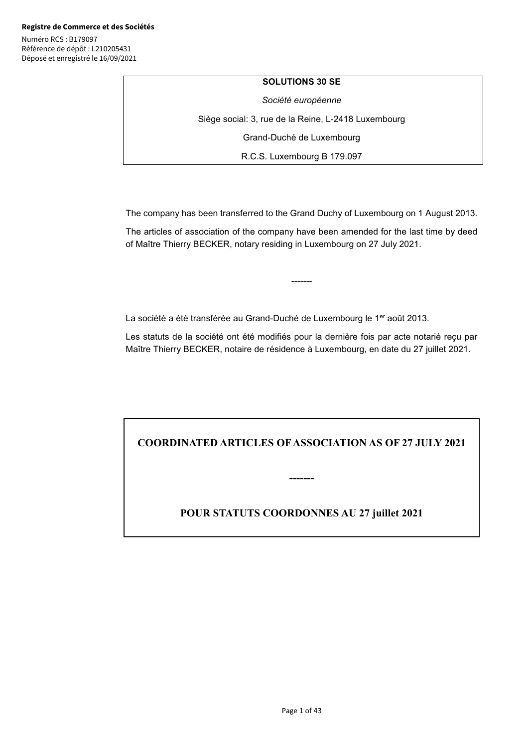### **SOLUTIONS 30 SE**

*Société européenne* 

Siège social: 3, rue de la Reine, L-2418 Luxembourg

Grand-Duché de Luxembourg

R.C.S. Luxembourg B 179.097

The company has been transferred to the Grand Duchy of Luxembourg on 1 August 2013.

The articles of association of the company have been amended for the last time by deed of Maître Thierry BECKER, notary residing in Luxembourg on 27 July 2021.

-------

La société a été transférée au Grand-Duché de Luxembourg le 1<sup>er</sup> août 2013.

Les statuts de la société ont été modifiés pour la dernière fois par acte notarié reçu par Maître Thierry BECKER, notaire de résidence à Luxembourg, en date du 27 juillet 2021.

**COORDINATED ARTICLES OF ASSOCIATION AS OF 27 JULY 2021** 

**-------** 

**POUR STATUTS COORDONNES AU 27 juillet 2021**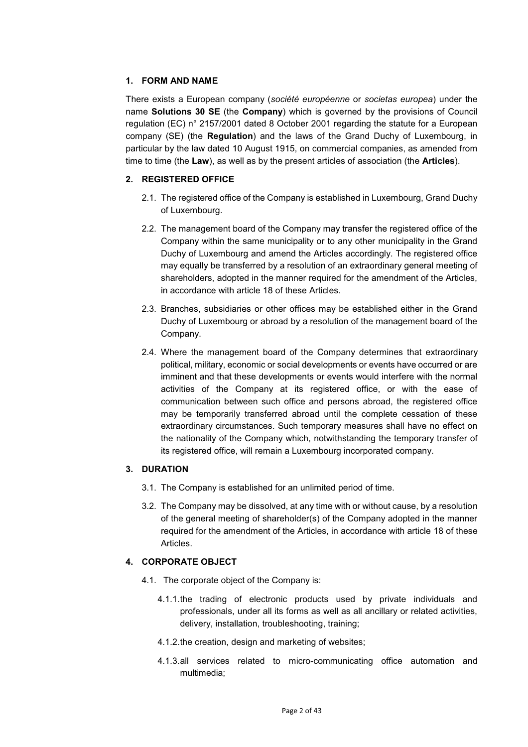## **1. FORM AND NAME**

There exists a European company (*société européenne* or *societas europea*) under the name **Solutions 30 SE** (the **Company**) which is governed by the provisions of Council regulation (EC) n° 2157/2001 dated 8 October 2001 regarding the statute for a European company (SE) (the **Regulation**) and the laws of the Grand Duchy of Luxembourg, in particular by the law dated 10 August 1915, on commercial companies, as amended from time to time (the **Law**), as well as by the present articles of association (the **Articles**).

# **2. REGISTERED OFFICE**

- 2.1. The registered office of the Company is established in Luxembourg, Grand Duchy of Luxembourg.
- 2.2. The management board of the Company may transfer the registered office of the Company within the same municipality or to any other municipality in the Grand Duchy of Luxembourg and amend the Articles accordingly. The registered office may equally be transferred by a resolution of an extraordinary general meeting of shareholders, adopted in the manner required for the amendment of the Articles, in accordance with article 18 of these Articles.
- 2.3. Branches, subsidiaries or other offices may be established either in the Grand Duchy of Luxembourg or abroad by a resolution of the management board of the Company.
- 2.4. Where the management board of the Company determines that extraordinary political, military, economic or social developments or events have occurred or are imminent and that these developments or events would interfere with the normal activities of the Company at its registered office, or with the ease of communication between such office and persons abroad, the registered office may be temporarily transferred abroad until the complete cessation of these extraordinary circumstances. Such temporary measures shall have no effect on the nationality of the Company which, notwithstanding the temporary transfer of its registered office, will remain a Luxembourg incorporated company.

## **3. DURATION**

- 3.1. The Company is established for an unlimited period of time.
- 3.2. The Company may be dissolved, at any time with or without cause, by a resolution of the general meeting of shareholder(s) of the Company adopted in the manner required for the amendment of the Articles, in accordance with article 18 of these Articles.

## **4. CORPORATE OBJECT**

- 4.1. The corporate object of the Company is:
	- 4.1.1. the trading of electronic products used by private individuals and professionals, under all its forms as well as all ancillary or related activities, delivery, installation, troubleshooting, training;
	- 4.1.2. the creation, design and marketing of websites;
	- 4.1.3. all services related to micro-communicating office automation and multimedia;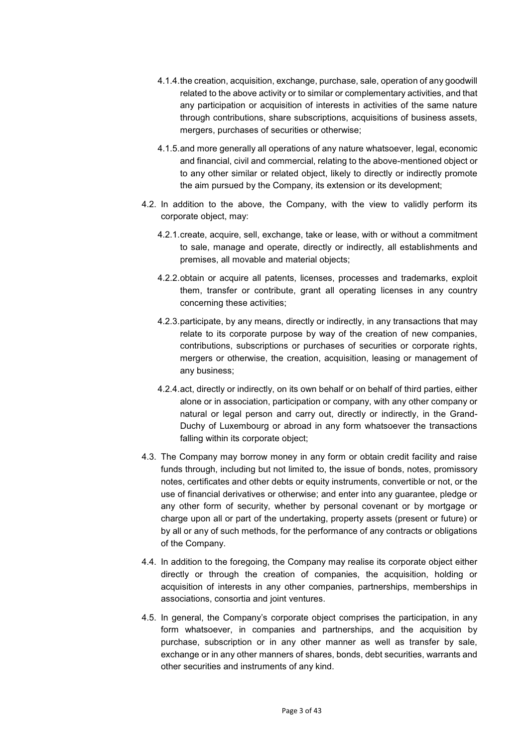- 4.1.4. the creation, acquisition, exchange, purchase, sale, operation of any goodwill related to the above activity or to similar or complementary activities, and that any participation or acquisition of interests in activities of the same nature through contributions, share subscriptions, acquisitions of business assets, mergers, purchases of securities or otherwise;
- 4.1.5. and more generally all operations of any nature whatsoever, legal, economic and financial, civil and commercial, relating to the above-mentioned object or to any other similar or related object, likely to directly or indirectly promote the aim pursued by the Company, its extension or its development;
- 4.2. In addition to the above, the Company, with the view to validly perform its corporate object, may:
	- 4.2.1. create, acquire, sell, exchange, take or lease, with or without a commitment to sale, manage and operate, directly or indirectly, all establishments and premises, all movable and material objects;
	- 4.2.2. obtain or acquire all patents, licenses, processes and trademarks, exploit them, transfer or contribute, grant all operating licenses in any country concerning these activities;
	- 4.2.3. participate, by any means, directly or indirectly, in any transactions that may relate to its corporate purpose by way of the creation of new companies, contributions, subscriptions or purchases of securities or corporate rights, mergers or otherwise, the creation, acquisition, leasing or management of any business;
	- 4.2.4. act, directly or indirectly, on its own behalf or on behalf of third parties, either alone or in association, participation or company, with any other company or natural or legal person and carry out, directly or indirectly, in the Grand-Duchy of Luxembourg or abroad in any form whatsoever the transactions falling within its corporate object;
- 4.3. The Company may borrow money in any form or obtain credit facility and raise funds through, including but not limited to, the issue of bonds, notes, promissory notes, certificates and other debts or equity instruments, convertible or not, or the use of financial derivatives or otherwise; and enter into any guarantee, pledge or any other form of security, whether by personal covenant or by mortgage or charge upon all or part of the undertaking, property assets (present or future) or by all or any of such methods, for the performance of any contracts or obligations of the Company.
- 4.4. In addition to the foregoing, the Company may realise its corporate object either directly or through the creation of companies, the acquisition, holding or acquisition of interests in any other companies, partnerships, memberships in associations, consortia and joint ventures.
- 4.5. In general, the Company's corporate object comprises the participation, in any form whatsoever, in companies and partnerships, and the acquisition by purchase, subscription or in any other manner as well as transfer by sale, exchange or in any other manners of shares, bonds, debt securities, warrants and other securities and instruments of any kind.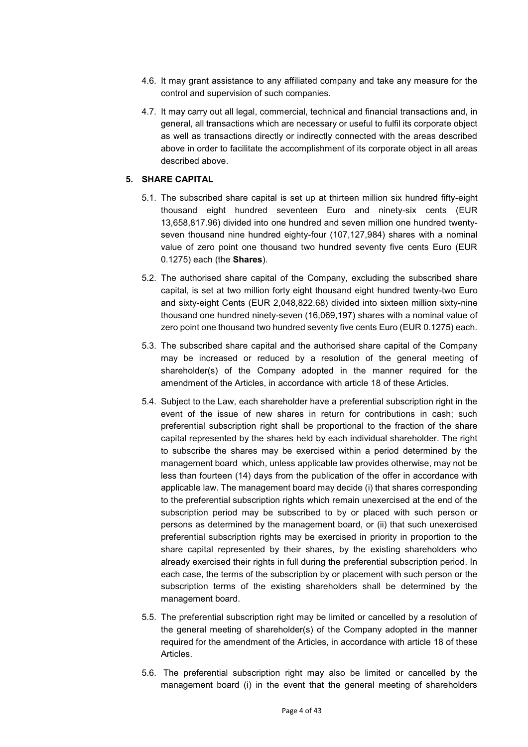- 4.6. It may grant assistance to any affiliated company and take any measure for the control and supervision of such companies.
- 4.7. It may carry out all legal, commercial, technical and financial transactions and, in general, all transactions which are necessary or useful to fulfil its corporate object as well as transactions directly or indirectly connected with the areas described above in order to facilitate the accomplishment of its corporate object in all areas described above.

## **5. SHARE CAPITAL**

- 5.1. The subscribed share capital is set up at thirteen million six hundred fifty-eight thousand eight hundred seventeen Euro and ninety-six cents (EUR 13,658,817.96) divided into one hundred and seven million one hundred twentyseven thousand nine hundred eighty-four (107,127,984) shares with a nominal value of zero point one thousand two hundred seventy five cents Euro (EUR 0.1275) each (the **Shares**).
- 5.2. The authorised share capital of the Company, excluding the subscribed share capital, is set at two million forty eight thousand eight hundred twenty-two Euro and sixty-eight Cents (EUR 2,048,822.68) divided into sixteen million sixty-nine thousand one hundred ninety-seven (16,069,197) shares with a nominal value of zero point one thousand two hundred seventy five cents Euro (EUR 0.1275) each.
- 5.3. The subscribed share capital and the authorised share capital of the Company may be increased or reduced by a resolution of the general meeting of shareholder(s) of the Company adopted in the manner required for the amendment of the Articles, in accordance with article 18 of these Articles.
- 5.4. Subject to the Law, each shareholder have a preferential subscription right in the event of the issue of new shares in return for contributions in cash; such preferential subscription right shall be proportional to the fraction of the share capital represented by the shares held by each individual shareholder. The right to subscribe the shares may be exercised within a period determined by the management board which, unless applicable law provides otherwise, may not be less than fourteen (14) days from the publication of the offer in accordance with applicable law. The management board may decide (i) that shares corresponding to the preferential subscription rights which remain unexercised at the end of the subscription period may be subscribed to by or placed with such person or persons as determined by the management board, or (ii) that such unexercised preferential subscription rights may be exercised in priority in proportion to the share capital represented by their shares, by the existing shareholders who already exercised their rights in full during the preferential subscription period. In each case, the terms of the subscription by or placement with such person or the subscription terms of the existing shareholders shall be determined by the management board.
- 5.5. The preferential subscription right may be limited or cancelled by a resolution of the general meeting of shareholder(s) of the Company adopted in the manner required for the amendment of the Articles, in accordance with article 18 of these Articles.
- 5.6. The preferential subscription right may also be limited or cancelled by the management board (i) in the event that the general meeting of shareholders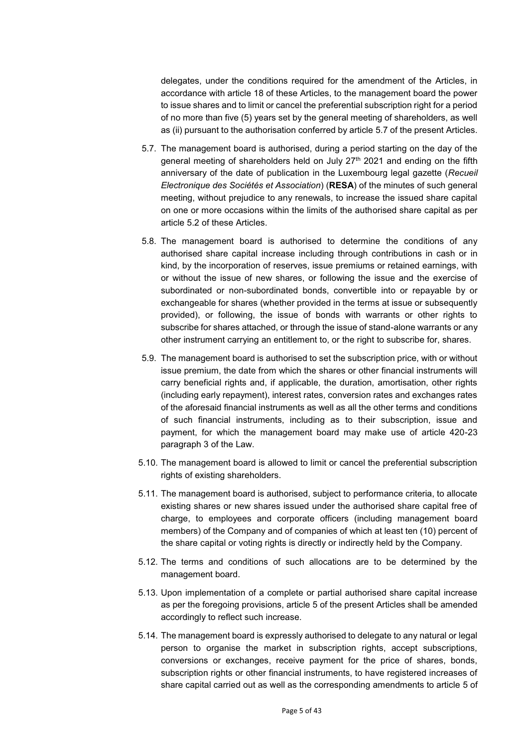delegates, under the conditions required for the amendment of the Articles, in accordance with article 18 of these Articles, to the management board the power to issue shares and to limit or cancel the preferential subscription right for a period of no more than five (5) years set by the general meeting of shareholders, as well as (ii) pursuant to the authorisation conferred by article 5.7 of the present Articles.

- 5.7. The management board is authorised, during a period starting on the day of the general meeting of shareholders held on July 27<sup>th</sup> 2021 and ending on the fifth anniversary of the date of publication in the Luxembourg legal gazette (*Recueil Electronique des Sociétés et Association*) (**RESA**) of the minutes of such general meeting, without prejudice to any renewals, to increase the issued share capital on one or more occasions within the limits of the authorised share capital as per article 5.2 of these Articles.
- 5.8. The management board is authorised to determine the conditions of any authorised share capital increase including through contributions in cash or in kind, by the incorporation of reserves, issue premiums or retained earnings, with or without the issue of new shares, or following the issue and the exercise of subordinated or non-subordinated bonds, convertible into or repayable by or exchangeable for shares (whether provided in the terms at issue or subsequently provided), or following, the issue of bonds with warrants or other rights to subscribe for shares attached, or through the issue of stand-alone warrants or any other instrument carrying an entitlement to, or the right to subscribe for, shares.
- 5.9. The management board is authorised to set the subscription price, with or without issue premium, the date from which the shares or other financial instruments will carry beneficial rights and, if applicable, the duration, amortisation, other rights (including early repayment), interest rates, conversion rates and exchanges rates of the aforesaid financial instruments as well as all the other terms and conditions of such financial instruments, including as to their subscription, issue and payment, for which the management board may make use of article 420-23 paragraph 3 of the Law.
- 5.10. The management board is allowed to limit or cancel the preferential subscription rights of existing shareholders.
- 5.11. The management board is authorised, subject to performance criteria, to allocate existing shares or new shares issued under the authorised share capital free of charge, to employees and corporate officers (including management board members) of the Company and of companies of which at least ten (10) percent of the share capital or voting rights is directly or indirectly held by the Company.
- 5.12. The terms and conditions of such allocations are to be determined by the management board.
- 5.13. Upon implementation of a complete or partial authorised share capital increase as per the foregoing provisions, article 5 of the present Articles shall be amended accordingly to reflect such increase.
- 5.14. The management board is expressly authorised to delegate to any natural or legal person to organise the market in subscription rights, accept subscriptions, conversions or exchanges, receive payment for the price of shares, bonds, subscription rights or other financial instruments, to have registered increases of share capital carried out as well as the corresponding amendments to article 5 of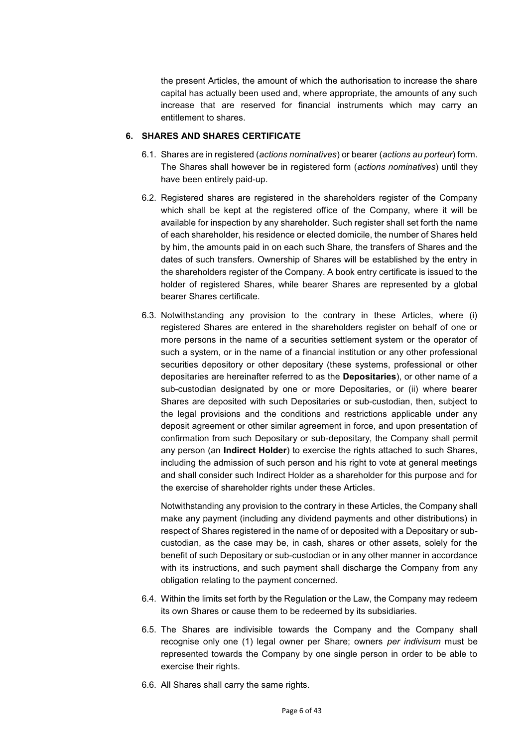the present Articles, the amount of which the authorisation to increase the share capital has actually been used and, where appropriate, the amounts of any such increase that are reserved for financial instruments which may carry an entitlement to shares.

## **6. SHARES AND SHARES CERTIFICATE**

- 6.1. Shares are in registered (*actions nominatives*) or bearer (*actions au porteur*) form. The Shares shall however be in registered form (*actions nominatives*) until they have been entirely paid-up.
- 6.2. Registered shares are registered in the shareholders register of the Company which shall be kept at the registered office of the Company, where it will be available for inspection by any shareholder. Such register shall set forth the name of each shareholder, his residence or elected domicile, the number of Shares held by him, the amounts paid in on each such Share, the transfers of Shares and the dates of such transfers. Ownership of Shares will be established by the entry in the shareholders register of the Company. A book entry certificate is issued to the holder of registered Shares, while bearer Shares are represented by a global bearer Shares certificate.
- 6.3. Notwithstanding any provision to the contrary in these Articles, where (i) registered Shares are entered in the shareholders register on behalf of one or more persons in the name of a securities settlement system or the operator of such a system, or in the name of a financial institution or any other professional securities depository or other depositary (these systems, professional or other depositaries are hereinafter referred to as the **Depositaries**), or other name of a sub-custodian designated by one or more Depositaries, or (ii) where bearer Shares are deposited with such Depositaries or sub-custodian, then, subject to the legal provisions and the conditions and restrictions applicable under any deposit agreement or other similar agreement in force, and upon presentation of confirmation from such Depositary or sub-depositary, the Company shall permit any person (an **Indirect Holder**) to exercise the rights attached to such Shares, including the admission of such person and his right to vote at general meetings and shall consider such Indirect Holder as a shareholder for this purpose and for the exercise of shareholder rights under these Articles.

Notwithstanding any provision to the contrary in these Articles, the Company shall make any payment (including any dividend payments and other distributions) in respect of Shares registered in the name of or deposited with a Depositary or subcustodian, as the case may be, in cash, shares or other assets, solely for the benefit of such Depositary or sub-custodian or in any other manner in accordance with its instructions, and such payment shall discharge the Company from any obligation relating to the payment concerned.

- 6.4. Within the limits set forth by the Regulation or the Law, the Company may redeem its own Shares or cause them to be redeemed by its subsidiaries.
- 6.5. The Shares are indivisible towards the Company and the Company shall recognise only one (1) legal owner per Share; owners *per indivisum* must be represented towards the Company by one single person in order to be able to exercise their rights.
- 6.6. All Shares shall carry the same rights.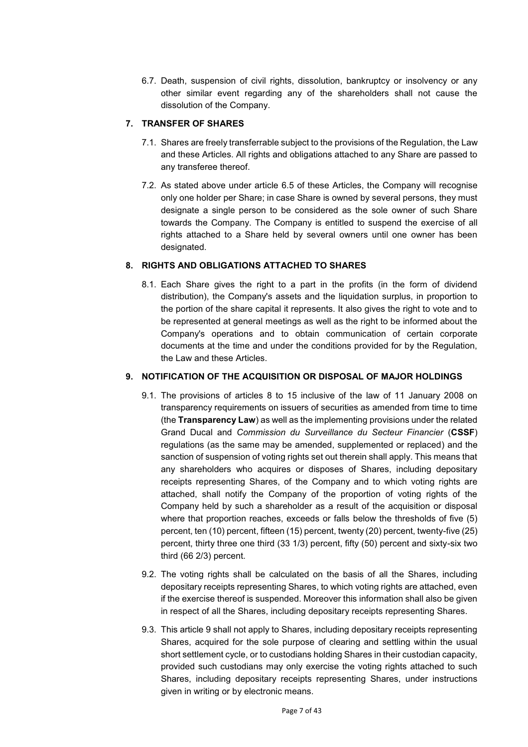6.7. Death, suspension of civil rights, dissolution, bankruptcy or insolvency or any other similar event regarding any of the shareholders shall not cause the dissolution of the Company.

# **7. TRANSFER OF SHARES**

- 7.1. Shares are freely transferrable subject to the provisions of the Regulation, the Law and these Articles. All rights and obligations attached to any Share are passed to any transferee thereof.
- 7.2. As stated above under article 6.5 of these Articles, the Company will recognise only one holder per Share; in case Share is owned by several persons, they must designate a single person to be considered as the sole owner of such Share towards the Company. The Company is entitled to suspend the exercise of all rights attached to a Share held by several owners until one owner has been designated.

## **8. RIGHTS AND OBLIGATIONS ATTACHED TO SHARES**

8.1. Each Share gives the right to a part in the profits (in the form of dividend distribution), the Company's assets and the liquidation surplus, in proportion to the portion of the share capital it represents. It also gives the right to vote and to be represented at general meetings as well as the right to be informed about the Company's operations and to obtain communication of certain corporate documents at the time and under the conditions provided for by the Regulation, the Law and these Articles.

# **9. NOTIFICATION OF THE ACQUISITION OR DISPOSAL OF MAJOR HOLDINGS**

- 9.1. The provisions of articles 8 to 15 inclusive of the law of 11 January 2008 on transparency requirements on issuers of securities as amended from time to time (the **Transparency Law**) as well as the implementing provisions under the related Grand Ducal and *Commission du Surveillance du Secteur Financier* (**CSSF**) regulations (as the same may be amended, supplemented or replaced) and the sanction of suspension of voting rights set out therein shall apply. This means that any shareholders who acquires or disposes of Shares, including depositary receipts representing Shares, of the Company and to which voting rights are attached, shall notify the Company of the proportion of voting rights of the Company held by such a shareholder as a result of the acquisition or disposal where that proportion reaches, exceeds or falls below the thresholds of five (5) percent, ten (10) percent, fifteen (15) percent, twenty (20) percent, twenty-five (25) percent, thirty three one third (33 1/3) percent, fifty (50) percent and sixty-six two third (66 2/3) percent.
- 9.2. The voting rights shall be calculated on the basis of all the Shares, including depositary receipts representing Shares, to which voting rights are attached, even if the exercise thereof is suspended. Moreover this information shall also be given in respect of all the Shares, including depositary receipts representing Shares.
- 9.3. This article 9 shall not apply to Shares, including depositary receipts representing Shares, acquired for the sole purpose of clearing and settling within the usual short settlement cycle, or to custodians holding Shares in their custodian capacity, provided such custodians may only exercise the voting rights attached to such Shares, including depositary receipts representing Shares, under instructions given in writing or by electronic means.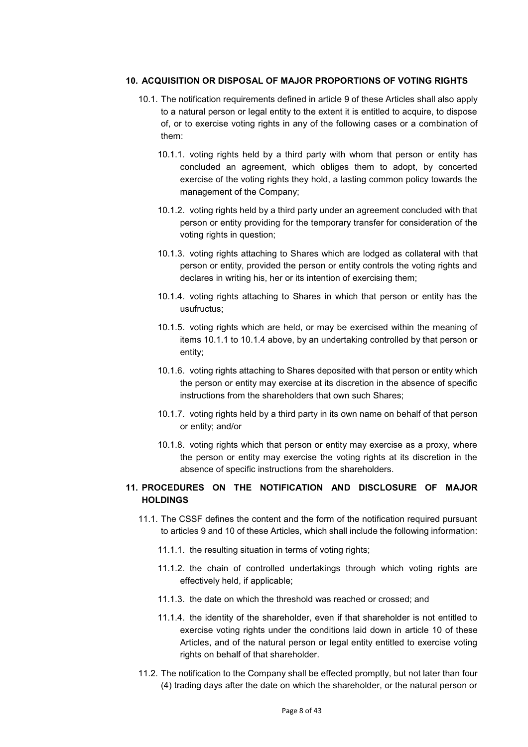### **10. ACQUISITION OR DISPOSAL OF MAJOR PROPORTIONS OF VOTING RIGHTS**

- 10.1. The notification requirements defined in article 9 of these Articles shall also apply to a natural person or legal entity to the extent it is entitled to acquire, to dispose of, or to exercise voting rights in any of the following cases or a combination of them:
	- 10.1.1. voting rights held by a third party with whom that person or entity has concluded an agreement, which obliges them to adopt, by concerted exercise of the voting rights they hold, a lasting common policy towards the management of the Company;
	- 10.1.2. voting rights held by a third party under an agreement concluded with that person or entity providing for the temporary transfer for consideration of the voting rights in question;
	- 10.1.3. voting rights attaching to Shares which are lodged as collateral with that person or entity, provided the person or entity controls the voting rights and declares in writing his, her or its intention of exercising them;
	- 10.1.4. voting rights attaching to Shares in which that person or entity has the usufructus;
	- 10.1.5. voting rights which are held, or may be exercised within the meaning of items 10.1.1 to 10.1.4 above, by an undertaking controlled by that person or entity;
	- 10.1.6. voting rights attaching to Shares deposited with that person or entity which the person or entity may exercise at its discretion in the absence of specific instructions from the shareholders that own such Shares;
	- 10.1.7. voting rights held by a third party in its own name on behalf of that person or entity; and/or
	- 10.1.8. voting rights which that person or entity may exercise as a proxy, where the person or entity may exercise the voting rights at its discretion in the absence of specific instructions from the shareholders.

# **11. PROCEDURES ON THE NOTIFICATION AND DISCLOSURE OF MAJOR HOLDINGS**

- 11.1. The CSSF defines the content and the form of the notification required pursuant to articles 9 and 10 of these Articles, which shall include the following information:
	- 11.1.1. the resulting situation in terms of voting rights;
	- 11.1.2. the chain of controlled undertakings through which voting rights are effectively held, if applicable;
	- 11.1.3. the date on which the threshold was reached or crossed; and
	- 11.1.4. the identity of the shareholder, even if that shareholder is not entitled to exercise voting rights under the conditions laid down in article 10 of these Articles, and of the natural person or legal entity entitled to exercise voting rights on behalf of that shareholder.
- 11.2. The notification to the Company shall be effected promptly, but not later than four (4) trading days after the date on which the shareholder, or the natural person or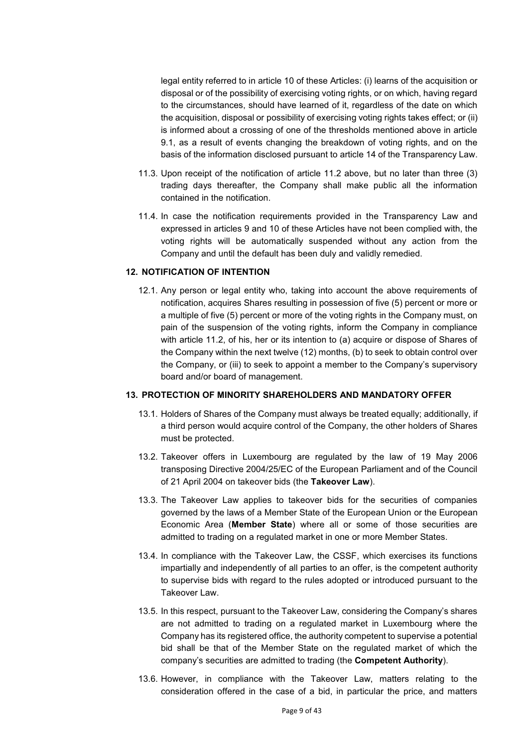legal entity referred to in article 10 of these Articles: (i) learns of the acquisition or disposal or of the possibility of exercising voting rights, or on which, having regard to the circumstances, should have learned of it, regardless of the date on which the acquisition, disposal or possibility of exercising voting rights takes effect; or (ii) is informed about a crossing of one of the thresholds mentioned above in article 9.1, as a result of events changing the breakdown of voting rights, and on the basis of the information disclosed pursuant to article 14 of the Transparency Law.

- 11.3. Upon receipt of the notification of article 11.2 above, but no later than three (3) trading days thereafter, the Company shall make public all the information contained in the notification.
- 11.4. In case the notification requirements provided in the Transparency Law and expressed in articles 9 and 10 of these Articles have not been complied with, the voting rights will be automatically suspended without any action from the Company and until the default has been duly and validly remedied.

### **12. NOTIFICATION OF INTENTION**

12.1. Any person or legal entity who, taking into account the above requirements of notification, acquires Shares resulting in possession of five (5) percent or more or a multiple of five (5) percent or more of the voting rights in the Company must, on pain of the suspension of the voting rights, inform the Company in compliance with article 11.2, of his, her or its intention to (a) acquire or dispose of Shares of the Company within the next twelve (12) months, (b) to seek to obtain control over the Company, or (iii) to seek to appoint a member to the Company's supervisory board and/or board of management.

#### **13. PROTECTION OF MINORITY SHAREHOLDERS AND MANDATORY OFFER**

- 13.1. Holders of Shares of the Company must always be treated equally; additionally, if a third person would acquire control of the Company, the other holders of Shares must be protected.
- 13.2. Takeover offers in Luxembourg are regulated by the law of 19 May 2006 transposing Directive 2004/25/EC of the European Parliament and of the Council of 21 April 2004 on takeover bids (the **Takeover Law**).
- 13.3. The Takeover Law applies to takeover bids for the securities of companies governed by the laws of a Member State of the European Union or the European Economic Area (**Member State**) where all or some of those securities are admitted to trading on a regulated market in one or more Member States.
- 13.4. In compliance with the Takeover Law, the CSSF, which exercises its functions impartially and independently of all parties to an offer, is the competent authority to supervise bids with regard to the rules adopted or introduced pursuant to the Takeover Law.
- 13.5. In this respect, pursuant to the Takeover Law, considering the Company's shares are not admitted to trading on a regulated market in Luxembourg where the Company has its registered office, the authority competent to supervise a potential bid shall be that of the Member State on the regulated market of which the company's securities are admitted to trading (the **Competent Authority**).
- 13.6. However, in compliance with the Takeover Law, matters relating to the consideration offered in the case of a bid, in particular the price, and matters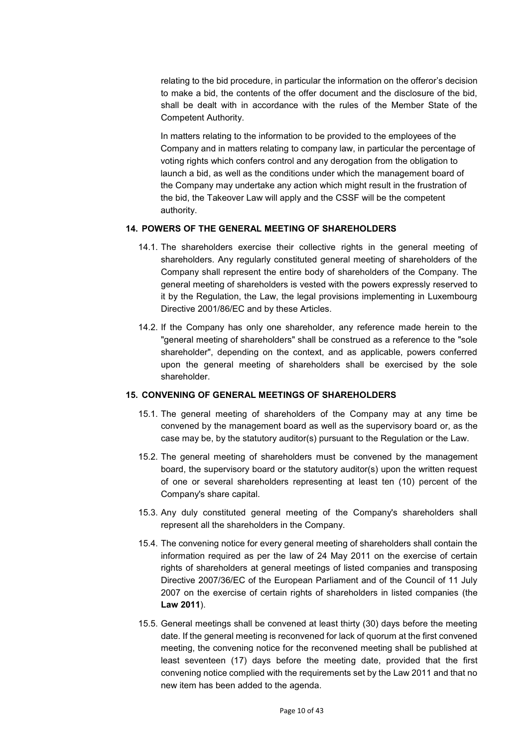relating to the bid procedure, in particular the information on the offeror's decision to make a bid, the contents of the offer document and the disclosure of the bid, shall be dealt with in accordance with the rules of the Member State of the Competent Authority.

In matters relating to the information to be provided to the employees of the Company and in matters relating to company law, in particular the percentage of voting rights which confers control and any derogation from the obligation to launch a bid, as well as the conditions under which the management board of the Company may undertake any action which might result in the frustration of the bid, the Takeover Law will apply and the CSSF will be the competent authority.

### **14. POWERS OF THE GENERAL MEETING OF SHAREHOLDERS**

- 14.1. The shareholders exercise their collective rights in the general meeting of shareholders. Any regularly constituted general meeting of shareholders of the Company shall represent the entire body of shareholders of the Company. The general meeting of shareholders is vested with the powers expressly reserved to it by the Regulation, the Law, the legal provisions implementing in Luxembourg Directive 2001/86/EC and by these Articles.
- 14.2. If the Company has only one shareholder, any reference made herein to the "general meeting of shareholders" shall be construed as a reference to the "sole shareholder", depending on the context, and as applicable, powers conferred upon the general meeting of shareholders shall be exercised by the sole shareholder.

#### **15. CONVENING OF GENERAL MEETINGS OF SHAREHOLDERS**

- 15.1. The general meeting of shareholders of the Company may at any time be convened by the management board as well as the supervisory board or, as the case may be, by the statutory auditor(s) pursuant to the Regulation or the Law.
- 15.2. The general meeting of shareholders must be convened by the management board, the supervisory board or the statutory auditor(s) upon the written request of one or several shareholders representing at least ten (10) percent of the Company's share capital.
- 15.3. Any duly constituted general meeting of the Company's shareholders shall represent all the shareholders in the Company.
- 15.4. The convening notice for every general meeting of shareholders shall contain the information required as per the law of 24 May 2011 on the exercise of certain rights of shareholders at general meetings of listed companies and transposing Directive 2007/36/EC of the European Parliament and of the Council of 11 July 2007 on the exercise of certain rights of shareholders in listed companies (the **Law 2011**).
- 15.5. General meetings shall be convened at least thirty (30) days before the meeting date. If the general meeting is reconvened for lack of quorum at the first convened meeting, the convening notice for the reconvened meeting shall be published at least seventeen (17) days before the meeting date, provided that the first convening notice complied with the requirements set by the Law 2011 and that no new item has been added to the agenda.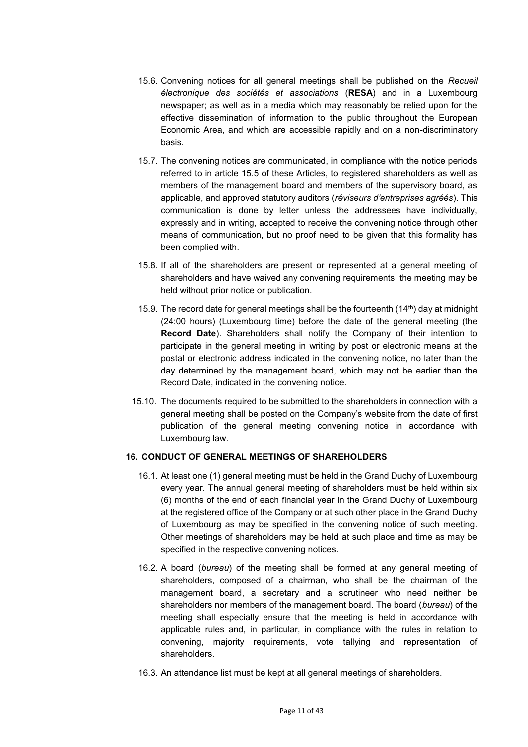- 15.6. Convening notices for all general meetings shall be published on the *Recueil électronique des sociétés et associations* (**RESA**) and in a Luxembourg newspaper; as well as in a media which may reasonably be relied upon for the effective dissemination of information to the public throughout the European Economic Area, and which are accessible rapidly and on a non-discriminatory basis.
- 15.7. The convening notices are communicated, in compliance with the notice periods referred to in article 15.5 of these Articles, to registered shareholders as well as members of the management board and members of the supervisory board, as applicable, and approved statutory auditors (*réviseurs d'entreprises agréés*). This communication is done by letter unless the addressees have individually, expressly and in writing, accepted to receive the convening notice through other means of communication, but no proof need to be given that this formality has been complied with.
- 15.8. If all of the shareholders are present or represented at a general meeting of shareholders and have waived any convening requirements, the meeting may be held without prior notice or publication.
- 15.9. The record date for general meetings shall be the fourteenth  $(14<sup>th</sup>)$  day at midnight (24:00 hours) (Luxembourg time) before the date of the general meeting (the **Record Date**). Shareholders shall notify the Company of their intention to participate in the general meeting in writing by post or electronic means at the postal or electronic address indicated in the convening notice, no later than the day determined by the management board, which may not be earlier than the Record Date, indicated in the convening notice.
- 15.10. The documents required to be submitted to the shareholders in connection with a general meeting shall be posted on the Company's website from the date of first publication of the general meeting convening notice in accordance with Luxembourg law.

## **16. CONDUCT OF GENERAL MEETINGS OF SHAREHOLDERS**

- 16.1. At least one (1) general meeting must be held in the Grand Duchy of Luxembourg every year. The annual general meeting of shareholders must be held within six (6) months of the end of each financial year in the Grand Duchy of Luxembourg at the registered office of the Company or at such other place in the Grand Duchy of Luxembourg as may be specified in the convening notice of such meeting. Other meetings of shareholders may be held at such place and time as may be specified in the respective convening notices.
- 16.2. A board (*bureau*) of the meeting shall be formed at any general meeting of shareholders, composed of a chairman, who shall be the chairman of the management board, a secretary and a scrutineer who need neither be shareholders nor members of the management board. The board (*bureau*) of the meeting shall especially ensure that the meeting is held in accordance with applicable rules and, in particular, in compliance with the rules in relation to convening, majority requirements, vote tallying and representation of shareholders.
- 16.3. An attendance list must be kept at all general meetings of shareholders.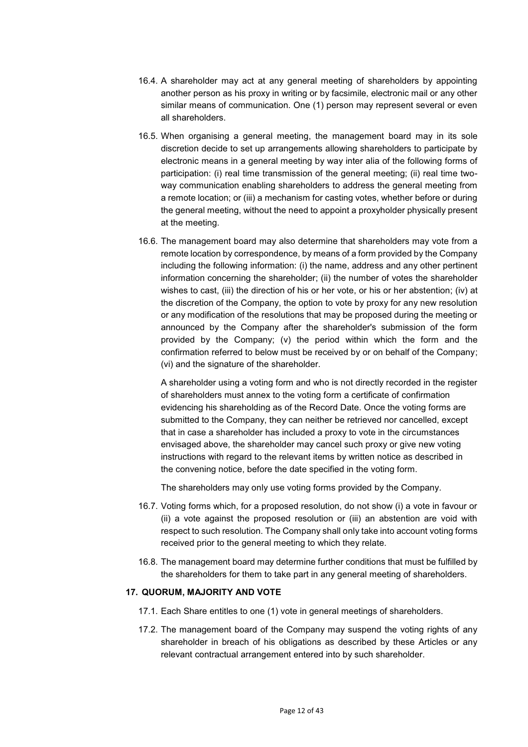- 16.4. A shareholder may act at any general meeting of shareholders by appointing another person as his proxy in writing or by facsimile, electronic mail or any other similar means of communication. One (1) person may represent several or even all shareholders.
- 16.5. When organising a general meeting, the management board may in its sole discretion decide to set up arrangements allowing shareholders to participate by electronic means in a general meeting by way inter alia of the following forms of participation: (i) real time transmission of the general meeting; (ii) real time twoway communication enabling shareholders to address the general meeting from a remote location; or (iii) a mechanism for casting votes, whether before or during the general meeting, without the need to appoint a proxyholder physically present at the meeting.
- 16.6. The management board may also determine that shareholders may vote from a remote location by correspondence, by means of a form provided by the Company including the following information: (i) the name, address and any other pertinent information concerning the shareholder; (ii) the number of votes the shareholder wishes to cast, (iii) the direction of his or her vote, or his or her abstention; (iv) at the discretion of the Company, the option to vote by proxy for any new resolution or any modification of the resolutions that may be proposed during the meeting or announced by the Company after the shareholder's submission of the form provided by the Company; (v) the period within which the form and the confirmation referred to below must be received by or on behalf of the Company; (vi) and the signature of the shareholder.

A shareholder using a voting form and who is not directly recorded in the register of shareholders must annex to the voting form a certificate of confirmation evidencing his shareholding as of the Record Date. Once the voting forms are submitted to the Company, they can neither be retrieved nor cancelled, except that in case a shareholder has included a proxy to vote in the circumstances envisaged above, the shareholder may cancel such proxy or give new voting instructions with regard to the relevant items by written notice as described in the convening notice, before the date specified in the voting form.

The shareholders may only use voting forms provided by the Company.

- 16.7. Voting forms which, for a proposed resolution, do not show (i) a vote in favour or (ii) a vote against the proposed resolution or (iii) an abstention are void with respect to such resolution. The Company shall only take into account voting forms received prior to the general meeting to which they relate.
- 16.8. The management board may determine further conditions that must be fulfilled by the shareholders for them to take part in any general meeting of shareholders.

#### **17. QUORUM, MAJORITY AND VOTE**

- 17.1. Each Share entitles to one (1) vote in general meetings of shareholders.
- 17.2. The management board of the Company may suspend the voting rights of any shareholder in breach of his obligations as described by these Articles or any relevant contractual arrangement entered into by such shareholder.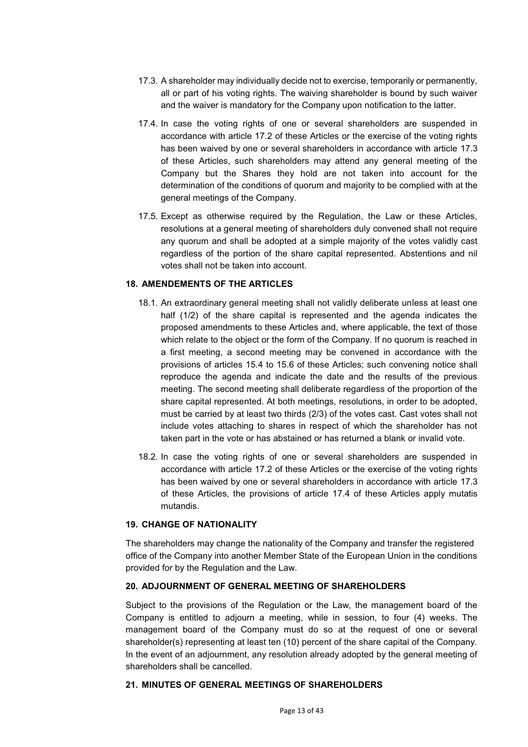- 17.3. A shareholder may individually decide not to exercise, temporarily or permanently, all or part of his voting rights. The waiving shareholder is bound by such waiver and the waiver is mandatory for the Company upon notification to the latter.
- 17.4. In case the voting rights of one or several shareholders are suspended in accordance with article 17.2 of these Articles or the exercise of the voting rights has been waived by one or several shareholders in accordance with article 17.3 of these Articles, such shareholders may attend any general meeting of the Company but the Shares they hold are not taken into account for the determination of the conditions of quorum and majority to be complied with at the general meetings of the Company.
- 17.5. Except as otherwise required by the Regulation, the Law or these Articles, resolutions at a general meeting of shareholders duly convened shall not require any quorum and shall be adopted at a simple majority of the votes validly cast regardless of the portion of the share capital represented. Abstentions and nil votes shall not be taken into account.

### **18. AMENDEMENTS OF THE ARTICLES**

- 18.1. An extraordinary general meeting shall not validly deliberate unless at least one half (1/2) of the share capital is represented and the agenda indicates the proposed amendments to these Articles and, where applicable, the text of those which relate to the object or the form of the Company. If no quorum is reached in a first meeting, a second meeting may be convened in accordance with the provisions of articles 15.4 to 15.6 of these Articles; such convening notice shall reproduce the agenda and indicate the date and the results of the previous meeting. The second meeting shall deliberate regardless of the proportion of the share capital represented. At both meetings, resolutions, in order to be adopted, must be carried by at least two thirds (2/3) of the votes cast. Cast votes shall not include votes attaching to shares in respect of which the shareholder has not taken part in the vote or has abstained or has returned a blank or invalid vote.
- 18.2. In case the voting rights of one or several shareholders are suspended in accordance with article 17.2 of these Articles or the exercise of the voting rights has been waived by one or several shareholders in accordance with article 17.3 of these Articles, the provisions of article 17.4 of these Articles apply mutatis mutandis.

#### **19. CHANGE OF NATIONALITY**

The shareholders may change the nationality of the Company and transfer the registered office of the Company into another Member State of the European Union in the conditions provided for by the Regulation and the Law.

## **20. ADJOURNMENT OF GENERAL MEETING OF SHAREHOLDERS**

Subject to the provisions of the Regulation or the Law, the management board of the Company is entitled to adjourn a meeting, while in session, to four (4) weeks. The management board of the Company must do so at the request of one or several shareholder(s) representing at least ten (10) percent of the share capital of the Company. In the event of an adjournment, any resolution already adopted by the general meeting of shareholders shall be cancelled.

## **21. MINUTES OF GENERAL MEETINGS OF SHAREHOLDERS**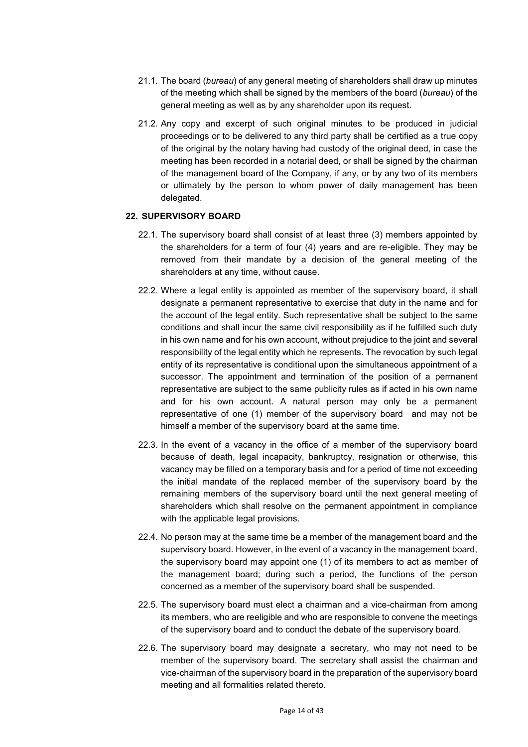- 21.1. The board (*bureau*) of any general meeting of shareholders shall draw up minutes of the meeting which shall be signed by the members of the board (*bureau*) of the general meeting as well as by any shareholder upon its request.
- 21.2. Any copy and excerpt of such original minutes to be produced in judicial proceedings or to be delivered to any third party shall be certified as a true copy of the original by the notary having had custody of the original deed, in case the meeting has been recorded in a notarial deed, or shall be signed by the chairman of the management board of the Company, if any, or by any two of its members or ultimately by the person to whom power of daily management has been delegated.

### **22. SUPERVISORY BOARD**

- 22.1. The supervisory board shall consist of at least three (3) members appointed by the shareholders for a term of four (4) years and are re-eligible. They may be removed from their mandate by a decision of the general meeting of the shareholders at any time, without cause.
- 22.2. Where a legal entity is appointed as member of the supervisory board, it shall designate a permanent representative to exercise that duty in the name and for the account of the legal entity. Such representative shall be subject to the same conditions and shall incur the same civil responsibility as if he fulfilled such duty in his own name and for his own account, without prejudice to the joint and several responsibility of the legal entity which he represents. The revocation by such legal entity of its representative is conditional upon the simultaneous appointment of a successor. The appointment and termination of the position of a permanent representative are subject to the same publicity rules as if acted in his own name and for his own account. A natural person may only be a permanent representative of one (1) member of the supervisory board and may not be himself a member of the supervisory board at the same time.
- 22.3. In the event of a vacancy in the office of a member of the supervisory board because of death, legal incapacity, bankruptcy, resignation or otherwise, this vacancy may be filled on a temporary basis and for a period of time not exceeding the initial mandate of the replaced member of the supervisory board by the remaining members of the supervisory board until the next general meeting of shareholders which shall resolve on the permanent appointment in compliance with the applicable legal provisions.
- 22.4. No person may at the same time be a member of the management board and the supervisory board. However, in the event of a vacancy in the management board, the supervisory board may appoint one (1) of its members to act as member of the management board; during such a period, the functions of the person concerned as a member of the supervisory board shall be suspended.
- 22.5. The supervisory board must elect a chairman and a vice-chairman from among its members, who are reeligible and who are responsible to convene the meetings of the supervisory board and to conduct the debate of the supervisory board*.*
- 22.6. The supervisory board may designate a secretary, who may not need to be member of the supervisory board. The secretary shall assist the chairman and vice-chairman of the supervisory board in the preparation of the supervisory board meeting and all formalities related thereto.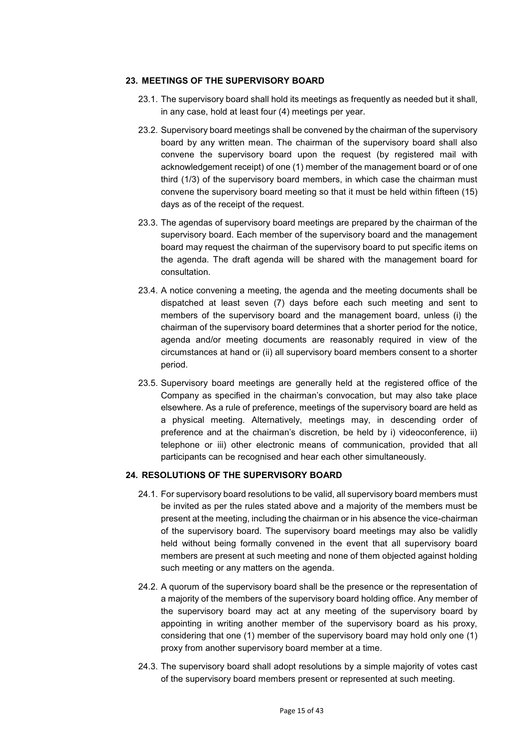### **23. MEETINGS OF THE SUPERVISORY BOARD**

- 23.1. The supervisory board shall hold its meetings as frequently as needed but it shall, in any case, hold at least four (4) meetings per year.
- 23.2. Supervisory board meetings shall be convened by the chairman of the supervisory board by any written mean. The chairman of the supervisory board shall also convene the supervisory board upon the request (by registered mail with acknowledgement receipt) of one (1) member of the management board or of one third (1/3) of the supervisory board members, in which case the chairman must convene the supervisory board meeting so that it must be held within fifteen (15) days as of the receipt of the request.
- 23.3. The agendas of supervisory board meetings are prepared by the chairman of the supervisory board. Each member of the supervisory board and the management board may request the chairman of the supervisory board to put specific items on the agenda. The draft agenda will be shared with the management board for consultation.
- 23.4. A notice convening a meeting, the agenda and the meeting documents shall be dispatched at least seven (7) days before each such meeting and sent to members of the supervisory board and the management board, unless (i) the chairman of the supervisory board determines that a shorter period for the notice, agenda and/or meeting documents are reasonably required in view of the circumstances at hand or (ii) all supervisory board members consent to a shorter period.
- 23.5. Supervisory board meetings are generally held at the registered office of the Company as specified in the chairman's convocation, but may also take place elsewhere. As a rule of preference, meetings of the supervisory board are held as a physical meeting. Alternatively, meetings may, in descending order of preference and at the chairman's discretion, be held by i) videoconference, ii) telephone or iii) other electronic means of communication, provided that all participants can be recognised and hear each other simultaneously.

## **24. RESOLUTIONS OF THE SUPERVISORY BOARD**

- 24.1. For supervisory board resolutions to be valid, all supervisory board members must be invited as per the rules stated above and a majority of the members must be present at the meeting, including the chairman or in his absence the vice-chairman of the supervisory board. The supervisory board meetings may also be validly held without being formally convened in the event that all supervisory board members are present at such meeting and none of them objected against holding such meeting or any matters on the agenda.
- 24.2. A quorum of the supervisory board shall be the presence or the representation of a majority of the members of the supervisory board holding office. Any member of the supervisory board may act at any meeting of the supervisory board by appointing in writing another member of the supervisory board as his proxy, considering that one (1) member of the supervisory board may hold only one (1) proxy from another supervisory board member at a time.
- 24.3. The supervisory board shall adopt resolutions by a simple majority of votes cast of the supervisory board members present or represented at such meeting.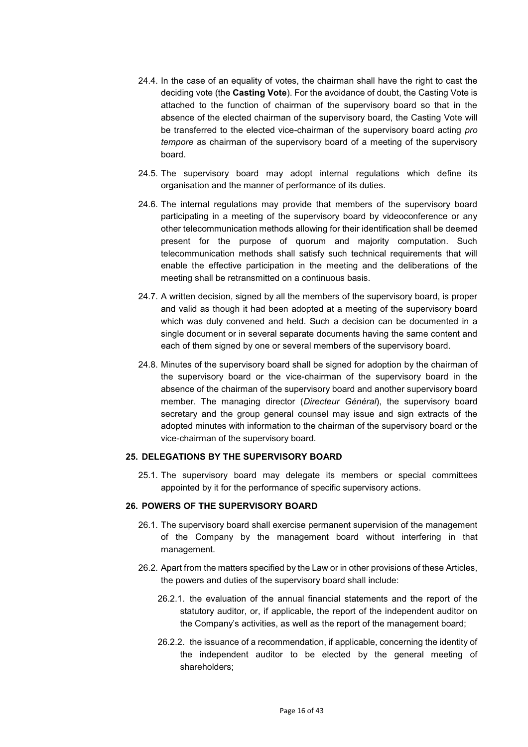- 24.4. In the case of an equality of votes, the chairman shall have the right to cast the deciding vote (the **Casting Vote**). For the avoidance of doubt, the Casting Vote is attached to the function of chairman of the supervisory board so that in the absence of the elected chairman of the supervisory board, the Casting Vote will be transferred to the elected vice-chairman of the supervisory board acting *pro tempore* as chairman of the supervisory board of a meeting of the supervisory board.
- 24.5. The supervisory board may adopt internal regulations which define its organisation and the manner of performance of its duties.
- 24.6. The internal regulations may provide that members of the supervisory board participating in a meeting of the supervisory board by videoconference or any other telecommunication methods allowing for their identification shall be deemed present for the purpose of quorum and majority computation. Such telecommunication methods shall satisfy such technical requirements that will enable the effective participation in the meeting and the deliberations of the meeting shall be retransmitted on a continuous basis.
- 24.7. A written decision, signed by all the members of the supervisory board, is proper and valid as though it had been adopted at a meeting of the supervisory board which was duly convened and held. Such a decision can be documented in a single document or in several separate documents having the same content and each of them signed by one or several members of the supervisory board.
- 24.8. Minutes of the supervisory board shall be signed for adoption by the chairman of the supervisory board or the vice-chairman of the supervisory board in the absence of the chairman of the supervisory board and another supervisory board member. The managing director (*Directeur Général*), the supervisory board secretary and the group general counsel may issue and sign extracts of the adopted minutes with information to the chairman of the supervisory board or the vice-chairman of the supervisory board.

### **25. DELEGATIONS BY THE SUPERVISORY BOARD**

25.1. The supervisory board may delegate its members or special committees appointed by it for the performance of specific supervisory actions.

#### **26. POWERS OF THE SUPERVISORY BOARD**

- 26.1. The supervisory board shall exercise permanent supervision of the management of the Company by the management board without interfering in that management.
- 26.2. Apart from the matters specified by the Law or in other provisions of these Articles, the powers and duties of the supervisory board shall include:
	- 26.2.1. the evaluation of the annual financial statements and the report of the statutory auditor, or, if applicable, the report of the independent auditor on the Company's activities, as well as the report of the management board;
	- 26.2.2. the issuance of a recommendation, if applicable, concerning the identity of the independent auditor to be elected by the general meeting of shareholders;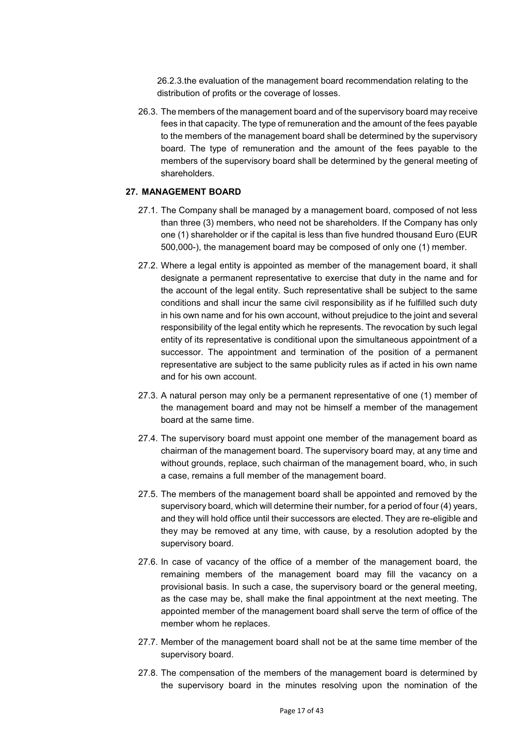26.2.3.the evaluation of the management board recommendation relating to the distribution of profits or the coverage of losses.

26.3. The members of the management board and of the supervisory board may receive fees in that capacity. The type of remuneration and the amount of the fees payable to the members of the management board shall be determined by the supervisory board. The type of remuneration and the amount of the fees payable to the members of the supervisory board shall be determined by the general meeting of shareholders.

#### **27. MANAGEMENT BOARD**

- 27.1. The Company shall be managed by a management board, composed of not less than three (3) members, who need not be shareholders. If the Company has only one (1) shareholder or if the capital is less than five hundred thousand Euro (EUR 500,000-), the management board may be composed of only one (1) member.
- 27.2. Where a legal entity is appointed as member of the management board, it shall designate a permanent representative to exercise that duty in the name and for the account of the legal entity. Such representative shall be subject to the same conditions and shall incur the same civil responsibility as if he fulfilled such duty in his own name and for his own account, without prejudice to the joint and several responsibility of the legal entity which he represents. The revocation by such legal entity of its representative is conditional upon the simultaneous appointment of a successor. The appointment and termination of the position of a permanent representative are subject to the same publicity rules as if acted in his own name and for his own account.
- 27.3. A natural person may only be a permanent representative of one (1) member of the management board and may not be himself a member of the management board at the same time.
- 27.4. The supervisory board must appoint one member of the management board as chairman of the management board. The supervisory board may, at any time and without grounds, replace, such chairman of the management board, who, in such a case, remains a full member of the management board.
- 27.5. The members of the management board shall be appointed and removed by the supervisory board, which will determine their number, for a period of four (4) years, and they will hold office until their successors are elected. They are re-eligible and they may be removed at any time, with cause, by a resolution adopted by the supervisory board.
- 27.6. In case of vacancy of the office of a member of the management board, the remaining members of the management board may fill the vacancy on a provisional basis. In such a case, the supervisory board or the general meeting, as the case may be, shall make the final appointment at the next meeting. The appointed member of the management board shall serve the term of office of the member whom he replaces.
- 27.7. Member of the management board shall not be at the same time member of the supervisory board.
- 27.8. The compensation of the members of the management board is determined by the supervisory board in the minutes resolving upon the nomination of the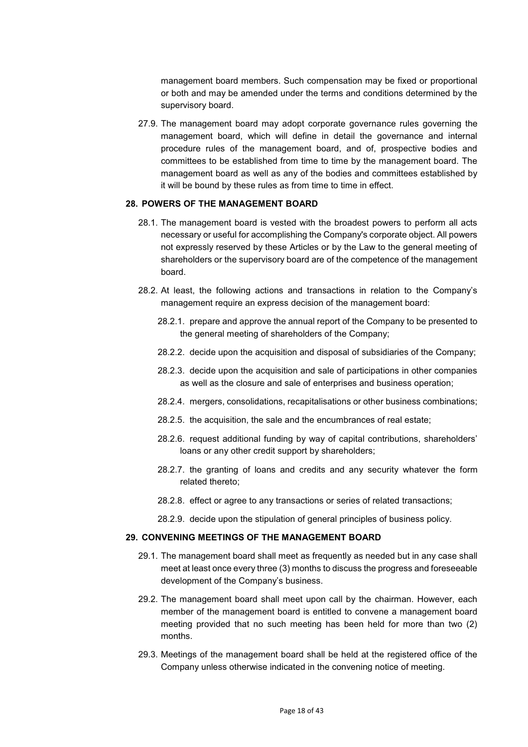management board members. Such compensation may be fixed or proportional or both and may be amended under the terms and conditions determined by the supervisory board.

27.9. The management board may adopt corporate governance rules governing the management board, which will define in detail the governance and internal procedure rules of the management board, and of, prospective bodies and committees to be established from time to time by the management board. The management board as well as any of the bodies and committees established by it will be bound by these rules as from time to time in effect.

## **28. POWERS OF THE MANAGEMENT BOARD**

- 28.1. The management board is vested with the broadest powers to perform all acts necessary or useful for accomplishing the Company's corporate object. All powers not expressly reserved by these Articles or by the Law to the general meeting of shareholders or the supervisory board are of the competence of the management board.
- 28.2. At least, the following actions and transactions in relation to the Company's management require an express decision of the management board:
	- 28.2.1. prepare and approve the annual report of the Company to be presented to the general meeting of shareholders of the Company;
	- 28.2.2. decide upon the acquisition and disposal of subsidiaries of the Company;
	- 28.2.3. decide upon the acquisition and sale of participations in other companies as well as the closure and sale of enterprises and business operation;
	- 28.2.4. mergers, consolidations, recapitalisations or other business combinations;
	- 28.2.5. the acquisition, the sale and the encumbrances of real estate;
	- 28.2.6. request additional funding by way of capital contributions, shareholders' loans or any other credit support by shareholders;
	- 28.2.7. the granting of loans and credits and any security whatever the form related thereto;
	- 28.2.8. effect or agree to any transactions or series of related transactions;
	- 28.2.9. decide upon the stipulation of general principles of business policy.

### **29. CONVENING MEETINGS OF THE MANAGEMENT BOARD**

- 29.1. The management board shall meet as frequently as needed but in any case shall meet at least once every three (3) months to discuss the progress and foreseeable development of the Company's business.
- 29.2. The management board shall meet upon call by the chairman. However, each member of the management board is entitled to convene a management board meeting provided that no such meeting has been held for more than two (2) months.
- 29.3. Meetings of the management board shall be held at the registered office of the Company unless otherwise indicated in the convening notice of meeting.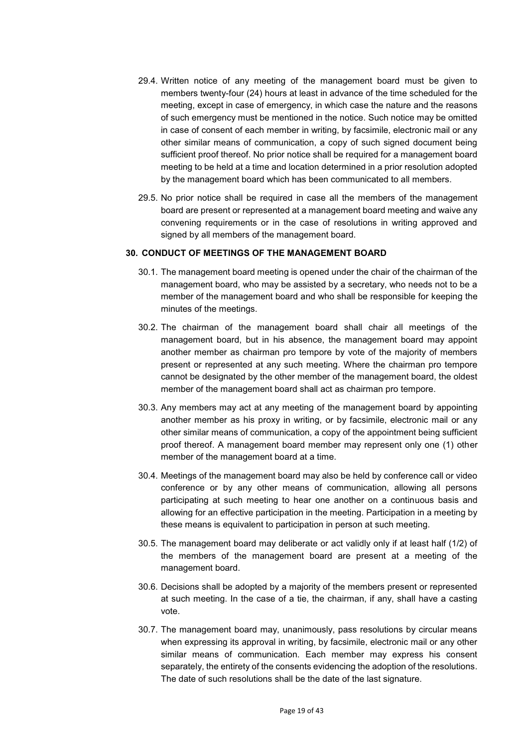- 29.4. Written notice of any meeting of the management board must be given to members twenty-four (24) hours at least in advance of the time scheduled for the meeting, except in case of emergency, in which case the nature and the reasons of such emergency must be mentioned in the notice. Such notice may be omitted in case of consent of each member in writing, by facsimile, electronic mail or any other similar means of communication, a copy of such signed document being sufficient proof thereof. No prior notice shall be required for a management board meeting to be held at a time and location determined in a prior resolution adopted by the management board which has been communicated to all members.
- 29.5. No prior notice shall be required in case all the members of the management board are present or represented at a management board meeting and waive any convening requirements or in the case of resolutions in writing approved and signed by all members of the management board.

### **30. CONDUCT OF MEETINGS OF THE MANAGEMENT BOARD**

- 30.1. The management board meeting is opened under the chair of the chairman of the management board, who may be assisted by a secretary, who needs not to be a member of the management board and who shall be responsible for keeping the minutes of the meetings.
- 30.2. The chairman of the management board shall chair all meetings of the management board, but in his absence, the management board may appoint another member as chairman pro tempore by vote of the majority of members present or represented at any such meeting. Where the chairman pro tempore cannot be designated by the other member of the management board, the oldest member of the management board shall act as chairman pro tempore.
- 30.3. Any members may act at any meeting of the management board by appointing another member as his proxy in writing, or by facsimile, electronic mail or any other similar means of communication, a copy of the appointment being sufficient proof thereof. A management board member may represent only one (1) other member of the management board at a time.
- 30.4. Meetings of the management board may also be held by conference call or video conference or by any other means of communication, allowing all persons participating at such meeting to hear one another on a continuous basis and allowing for an effective participation in the meeting. Participation in a meeting by these means is equivalent to participation in person at such meeting.
- 30.5. The management board may deliberate or act validly only if at least half (1/2) of the members of the management board are present at a meeting of the management board.
- 30.6. Decisions shall be adopted by a majority of the members present or represented at such meeting. In the case of a tie, the chairman, if any, shall have a casting vote.
- 30.7. The management board may, unanimously, pass resolutions by circular means when expressing its approval in writing, by facsimile, electronic mail or any other similar means of communication. Each member may express his consent separately, the entirety of the consents evidencing the adoption of the resolutions. The date of such resolutions shall be the date of the last signature.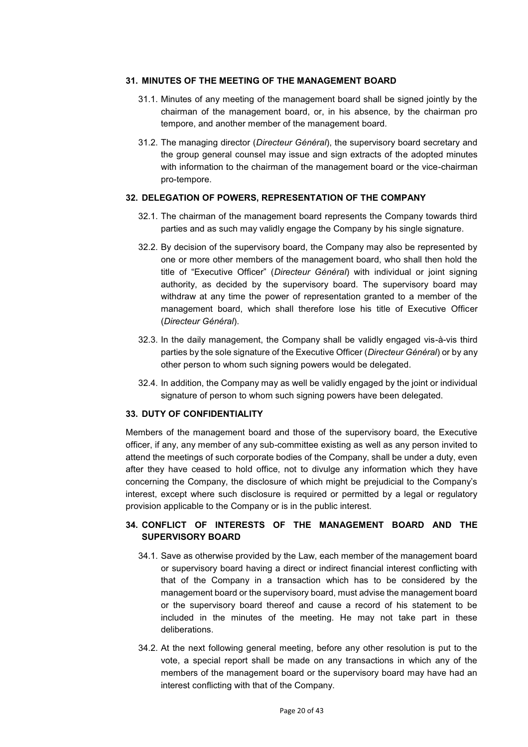### **31. MINUTES OF THE MEETING OF THE MANAGEMENT BOARD**

- 31.1. Minutes of any meeting of the management board shall be signed jointly by the chairman of the management board, or, in his absence, by the chairman pro tempore, and another member of the management board.
- 31.2. The managing director (*Directeur Général*), the supervisory board secretary and the group general counsel may issue and sign extracts of the adopted minutes with information to the chairman of the management board or the vice-chairman pro-tempore.

### **32. DELEGATION OF POWERS, REPRESENTATION OF THE COMPANY**

- 32.1. The chairman of the management board represents the Company towards third parties and as such may validly engage the Company by his single signature.
- 32.2. By decision of the supervisory board, the Company may also be represented by one or more other members of the management board, who shall then hold the title of "Executive Officer" (*Directeur Général*) with individual or joint signing authority, as decided by the supervisory board. The supervisory board may withdraw at any time the power of representation granted to a member of the management board, which shall therefore lose his title of Executive Officer (*Directeur Général*).
- 32.3. In the daily management, the Company shall be validly engaged vis-à-vis third parties by the sole signature of the Executive Officer (*Directeur Général*) or by any other person to whom such signing powers would be delegated.
- 32.4. In addition, the Company may as well be validly engaged by the joint or individual signature of person to whom such signing powers have been delegated.

## **33. DUTY OF CONFIDENTIALITY**

Members of the management board and those of the supervisory board, the Executive officer, if any, any member of any sub-committee existing as well as any person invited to attend the meetings of such corporate bodies of the Company, shall be under a duty, even after they have ceased to hold office, not to divulge any information which they have concerning the Company, the disclosure of which might be prejudicial to the Company's interest, except where such disclosure is required or permitted by a legal or regulatory provision applicable to the Company or is in the public interest.

## **34. CONFLICT OF INTERESTS OF THE MANAGEMENT BOARD AND THE SUPERVISORY BOARD**

- 34.1. Save as otherwise provided by the Law, each member of the management board or supervisory board having a direct or indirect financial interest conflicting with that of the Company in a transaction which has to be considered by the management board or the supervisory board, must advise the management board or the supervisory board thereof and cause a record of his statement to be included in the minutes of the meeting. He may not take part in these deliberations.
- 34.2. At the next following general meeting, before any other resolution is put to the vote, a special report shall be made on any transactions in which any of the members of the management board or the supervisory board may have had an interest conflicting with that of the Company.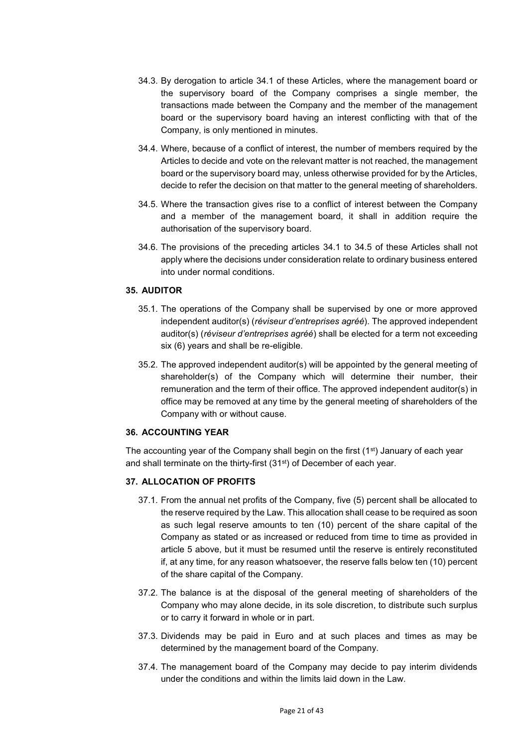- 34.3. By derogation to article 34.1 of these Articles, where the management board or the supervisory board of the Company comprises a single member, the transactions made between the Company and the member of the management board or the supervisory board having an interest conflicting with that of the Company, is only mentioned in minutes.
- 34.4. Where, because of a conflict of interest, the number of members required by the Articles to decide and vote on the relevant matter is not reached, the management board or the supervisory board may, unless otherwise provided for by the Articles, decide to refer the decision on that matter to the general meeting of shareholders.
- 34.5. Where the transaction gives rise to a conflict of interest between the Company and a member of the management board, it shall in addition require the authorisation of the supervisory board.
- 34.6. The provisions of the preceding articles 34.1 to 34.5 of these Articles shall not apply where the decisions under consideration relate to ordinary business entered into under normal conditions.

# **35. AUDITOR**

- 35.1. The operations of the Company shall be supervised by one or more approved independent auditor(s) (*réviseur d'entreprises agréé*). The approved independent auditor(s) (*réviseur d'entreprises agréé*) shall be elected for a term not exceeding six (6) years and shall be re-eligible.
- 35.2. The approved independent auditor(s) will be appointed by the general meeting of shareholder(s) of the Company which will determine their number, their remuneration and the term of their office. The approved independent auditor(s) in office may be removed at any time by the general meeting of shareholders of the Company with or without cause.

### **36. ACCOUNTING YEAR**

The accounting year of the Company shall begin on the first  $(1<sup>st</sup>)$  January of each year and shall terminate on the thirty-first (31<sup>st</sup>) of December of each year.

## **37. ALLOCATION OF PROFITS**

- 37.1. From the annual net profits of the Company, five (5) percent shall be allocated to the reserve required by the Law. This allocation shall cease to be required as soon as such legal reserve amounts to ten (10) percent of the share capital of the Company as stated or as increased or reduced from time to time as provided in article 5 above, but it must be resumed until the reserve is entirely reconstituted if, at any time, for any reason whatsoever, the reserve falls below ten (10) percent of the share capital of the Company.
- 37.2. The balance is at the disposal of the general meeting of shareholders of the Company who may alone decide, in its sole discretion, to distribute such surplus or to carry it forward in whole or in part.
- 37.3. Dividends may be paid in Euro and at such places and times as may be determined by the management board of the Company.
- 37.4. The management board of the Company may decide to pay interim dividends under the conditions and within the limits laid down in the Law.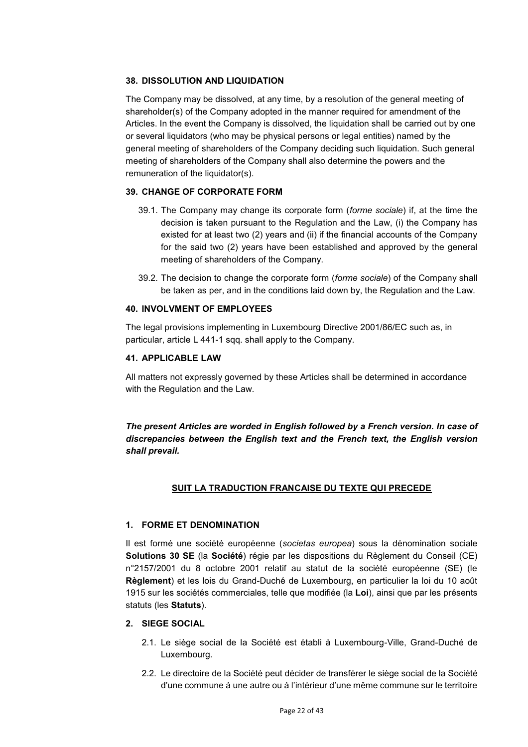## **38. DISSOLUTION AND LIQUIDATION**

The Company may be dissolved, at any time, by a resolution of the general meeting of shareholder(s) of the Company adopted in the manner required for amendment of the Articles. In the event the Company is dissolved, the liquidation shall be carried out by one or several liquidators (who may be physical persons or legal entities) named by the general meeting of shareholders of the Company deciding such liquidation. Such general meeting of shareholders of the Company shall also determine the powers and the remuneration of the liquidator(s).

## **39. CHANGE OF CORPORATE FORM**

- 39.1. The Company may change its corporate form (*forme sociale*) if, at the time the decision is taken pursuant to the Regulation and the Law, (i) the Company has existed for at least two (2) years and (ii) if the financial accounts of the Company for the said two (2) years have been established and approved by the general meeting of shareholders of the Company.
- 39.2. The decision to change the corporate form (*forme sociale*) of the Company shall be taken as per, and in the conditions laid down by, the Regulation and the Law.

## **40. INVOLVMENT OF EMPLOYEES**

The legal provisions implementing in Luxembourg Directive 2001/86/EC such as, in particular, article L 441-1 sqq. shall apply to the Company.

## **41. APPLICABLE LAW**

All matters not expressly governed by these Articles shall be determined in accordance with the Regulation and the Law.

*The present Articles are worded in English followed by a French version. In case of discrepancies between the English text and the French text, the English version shall prevail.* 

# **SUIT LA TRADUCTION FRANCAISE DU TEXTE QUI PRECEDE**

## **1. FORME ET DENOMINATION**

Il est formé une société européenne (*societas europea*) sous la dénomination sociale **Solutions 30 SE** (la **Société**) régie par les dispositions du Règlement du Conseil (CE) n°2157/2001 du 8 octobre 2001 relatif au statut de la société européenne (SE) (le **Règlement**) et les lois du Grand-Duché de Luxembourg, en particulier la loi du 10 août 1915 sur les sociétés commerciales, telle que modifiée (la **Loi**), ainsi que par les présents statuts (les **Statuts**).

## **2. SIEGE SOCIAL**

- 2.1. Le siège social de la Société est établi à Luxembourg-Ville, Grand-Duché de Luxembourg.
- 2.2. Le directoire de la Société peut décider de transférer le siège social de la Société d'une commune à une autre ou à l'intérieur d'une même commune sur le territoire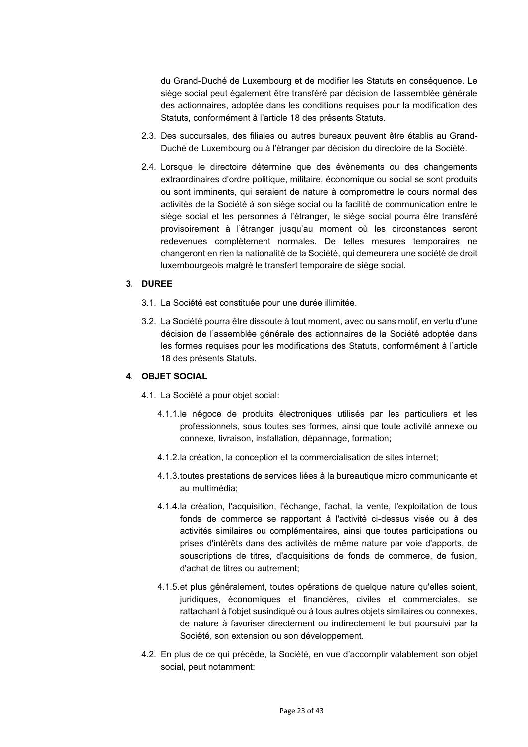du Grand-Duché de Luxembourg et de modifier les Statuts en conséquence. Le siège social peut également être transféré par décision de l'assemblée générale des actionnaires, adoptée dans les conditions requises pour la modification des Statuts, conformément à l'article 18 des présents Statuts.

- 2.3. Des succursales, des filiales ou autres bureaux peuvent être établis au Grand-Duché de Luxembourg ou à l'étranger par décision du directoire de la Société.
- 2.4. Lorsque le directoire détermine que des évènements ou des changements extraordinaires d'ordre politique, militaire, économique ou social se sont produits ou sont imminents, qui seraient de nature à compromettre le cours normal des activités de la Société à son siège social ou la facilité de communication entre le siège social et les personnes à l'étranger, le siège social pourra être transféré provisoirement à l'étranger jusqu'au moment où les circonstances seront redevenues complètement normales. De telles mesures temporaires ne changeront en rien la nationalité de la Société, qui demeurera une société de droit luxembourgeois malgré le transfert temporaire de siège social.

### **3. DUREE**

- 3.1. La Société est constituée pour une durée illimitée.
- 3.2. La Société pourra être dissoute à tout moment, avec ou sans motif, en vertu d'une décision de l'assemblée générale des actionnaires de la Société adoptée dans les formes requises pour les modifications des Statuts, conformément à l'article 18 des présents Statuts.

### **4. OBJET SOCIAL**

- 4.1. La Société a pour objet social:
	- 4.1.1. le négoce de produits électroniques utilisés par les particuliers et les professionnels, sous toutes ses formes, ainsi que toute activité annexe ou connexe, livraison, installation, dépannage, formation;
	- 4.1.2. la création, la conception et la commercialisation de sites internet;
	- 4.1.3. toutes prestations de services liées à la bureautique micro communicante et au multimédia;
	- 4.1.4. la création, l'acquisition, l'échange, l'achat, la vente, l'exploitation de tous fonds de commerce se rapportant à l'activité ci-dessus visée ou à des activités similaires ou complémentaires, ainsi que toutes participations ou prises d'intérêts dans des activités de même nature par voie d'apports, de souscriptions de titres, d'acquisitions de fonds de commerce, de fusion, d'achat de titres ou autrement;
	- 4.1.5. et plus généralement, toutes opérations de quelque nature qu'elles soient, juridiques, économiques et financières, civiles et commerciales, se rattachant à l'objet susindiqué ou à tous autres objets similaires ou connexes, de nature à favoriser directement ou indirectement le but poursuivi par la Société, son extension ou son développement.
- 4.2. En plus de ce qui précède, la Société, en vue d'accomplir valablement son objet social, peut notamment: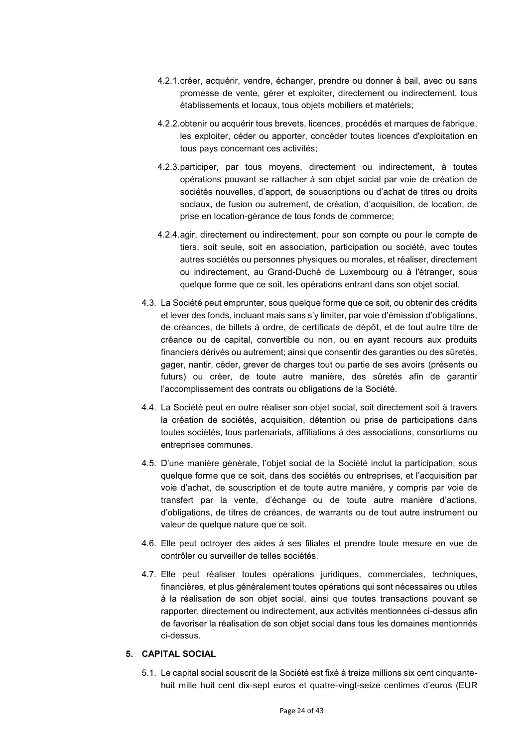- 4.2.1. créer, acquérir, vendre, échanger, prendre ou donner à bail, avec ou sans promesse de vente, gérer et exploiter, directement ou indirectement, tous établissements et locaux, tous objets mobiliers et matériels;
- 4.2.2. obtenir ou acquérir tous brevets, licences, procédés et marques de fabrique, les exploiter, céder ou apporter, concéder toutes licences d'exploitation en tous pays concernant ces activités;
- 4.2.3. participer, par tous moyens, directement ou indirectement, à toutes opérations pouvant se rattacher à son objet social par voie de création de sociétés nouvelles, d'apport, de souscriptions ou d'achat de titres ou droits sociaux, de fusion ou autrement, de création, d'acquisition, de location, de prise en location-gérance de tous fonds de commerce;
- 4.2.4. agir, directement ou indirectement, pour son compte ou pour le compte de tiers, soit seule, soit en association, participation ou société, avec toutes autres sociétés ou personnes physiques ou morales, et réaliser, directement ou indirectement, au Grand-Duché de Luxembourg ou à l'étranger, sous quelque forme que ce soit, les opérations entrant dans son objet social.
- 4.3. La Société peut emprunter, sous quelque forme que ce soit, ou obtenir des crédits et lever des fonds, incluant mais sans s'y limiter, par voie d'émission d'obligations, de créances, de billets à ordre, de certificats de dépôt, et de tout autre titre de créance ou de capital, convertible ou non, ou en ayant recours aux produits financiers dérivés ou autrement; ainsi que consentir des garanties ou des sûretés, gager, nantir, céder, grever de charges tout ou partie de ses avoirs (présents ou futurs) ou créer, de toute autre manière, des sûretés afin de garantir l'accomplissement des contrats ou obligations de la Société.
- 4.4. La Société peut en outre réaliser son objet social, soit directement soit à travers la création de sociétés, acquisition, détention ou prise de participations dans toutes sociétés, tous partenariats, affiliations à des associations, consortiums ou entreprises communes.
- 4.5. D'une manière générale, l'objet social de la Société inclut la participation, sous quelque forme que ce soit, dans des sociétés ou entreprises, et l'acquisition par voie d'achat, de souscription et de toute autre manière, y compris par voie de transfert par la vente, d'échange ou de toute autre manière d'actions, d'obligations, de titres de créances, de warrants ou de tout autre instrument ou valeur de quelque nature que ce soit.
- 4.6. Elle peut octroyer des aides à ses filiales et prendre toute mesure en vue de contrôler ou surveiller de telles sociétés.
- 4.7. Elle peut réaliser toutes opérations juridiques, commerciales, techniques, financières, et plus généralement toutes opérations qui sont nécessaires ou utiles à la réalisation de son objet social, ainsi que toutes transactions pouvant se rapporter, directement ou indirectement, aux activités mentionnées ci-dessus afin de favoriser la réalisation de son objet social dans tous les domaines mentionnés ci-dessus.

## **5. CAPITAL SOCIAL**

5.1. Le capital social souscrit de la Société est fixé à treize millions six cent cinquantehuit mille huit cent dix-sept euros et quatre-vingt-seize centimes d'euros (EUR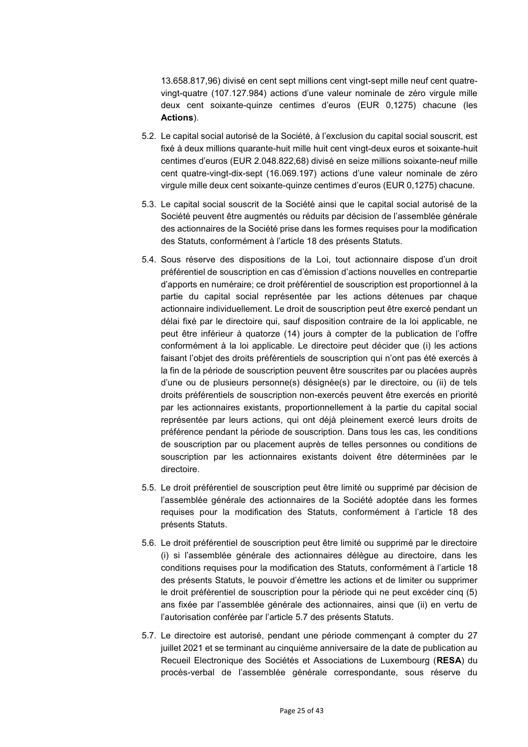13.658.817,96) divisé en cent sept millions cent vingt-sept mille neuf cent quatrevingt-quatre (107.127.984) actions d'une valeur nominale de zéro virgule mille deux cent soixante-quinze centimes d'euros (EUR 0,1275) chacune (les **Actions**).

- 5.2. Le capital social autorisé de la Société, à l'exclusion du capital social souscrit, est fixé à deux millions quarante-huit mille huit cent vingt-deux euros et soixante-huit centimes d'euros (EUR 2.048.822,68) divisé en seize millions soixante-neuf mille cent quatre-vingt-dix-sept (16.069.197) actions d'une valeur nominale de zéro virgule mille deux cent soixante-quinze centimes d'euros (EUR 0,1275) chacune.
- 5.3. Le capital social souscrit de la Société ainsi que le capital social autorisé de la Société peuvent être augmentés ou réduits par décision de l'assemblée générale des actionnaires de la Société prise dans les formes requises pour la modification des Statuts, conformément à l'article 18 des présents Statuts.
- 5.4. Sous réserve des dispositions de la Loi, tout actionnaire dispose d'un droit préférentiel de souscription en cas d'émission d'actions nouvelles en contrepartie d'apports en numéraire; ce droit préférentiel de souscription est proportionnel à la partie du capital social représentée par les actions détenues par chaque actionnaire individuellement. Le droit de souscription peut être exercé pendant un délai fixé par le directoire qui, sauf disposition contraire de la loi applicable, ne peut être inférieur à quatorze (14) jours à compter de la publication de l'offre conformément à la loi applicable. Le directoire peut décider que (i) les actions faisant l'objet des droits préférentiels de souscription qui n'ont pas été exercés à la fin de la période de souscription peuvent être souscrites par ou placées auprès d'une ou de plusieurs personne(s) désignée(s) par le directoire, ou (ii) de tels droits préférentiels de souscription non-exercés peuvent être exercés en priorité par les actionnaires existants, proportionnellement à la partie du capital social représentée par leurs actions, qui ont déjà pleinement exercé leurs droits de préférence pendant la période de souscription. Dans tous les cas, les conditions de souscription par ou placement auprès de telles personnes ou conditions de souscription par les actionnaires existants doivent être déterminées par le directoire.
- 5.5. Le droit préférentiel de souscription peut être limité ou supprimé par décision de l'assemblée générale des actionnaires de la Société adoptée dans les formes requises pour la modification des Statuts, conformément à l'article 18 des présents Statuts.
- 5.6. Le droit préférentiel de souscription peut être limité ou supprimé par le directoire (i) si l'assemblée générale des actionnaires délègue au directoire, dans les conditions requises pour la modification des Statuts, conformément à l'article 18 des présents Statuts, le pouvoir d'émettre les actions et de limiter ou supprimer le droit préférentiel de souscription pour la période qui ne peut excéder cinq (5) ans fixée par l'assemblée générale des actionnaires, ainsi que (ii) en vertu de l'autorisation conférée par l'article 5.7 des présents Statuts.
- 5.7. Le directoire est autorisé, pendant une période commençant à compter du 27 juillet 2021 et se terminant au cinquième anniversaire de la date de publication au Recueil Electronique des Sociétés et Associations de Luxembourg (**RESA**) du procès-verbal de l'assemblée générale correspondante, sous réserve du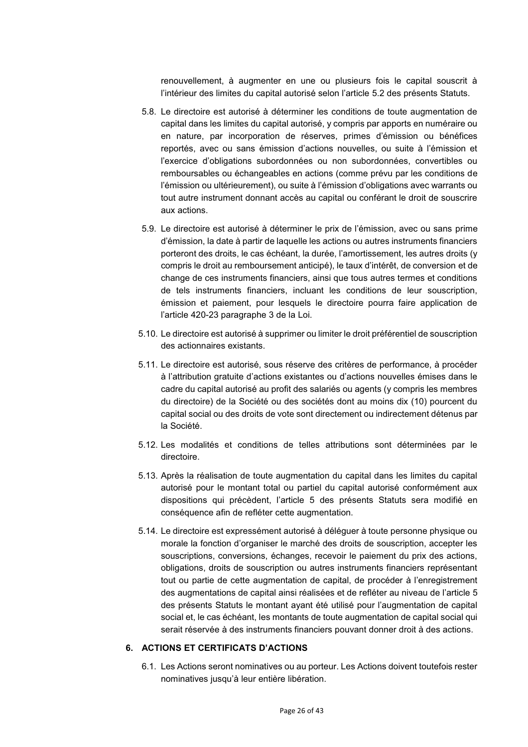renouvellement, à augmenter en une ou plusieurs fois le capital souscrit à l'intérieur des limites du capital autorisé selon l'article 5.2 des présents Statuts.

- 5.8. Le directoire est autorisé à déterminer les conditions de toute augmentation de capital dans les limites du capital autorisé, y compris par apports en numéraire ou en nature, par incorporation de réserves, primes d'émission ou bénéfices reportés, avec ou sans émission d'actions nouvelles, ou suite à l'émission et l'exercice d'obligations subordonnées ou non subordonnées, convertibles ou remboursables ou échangeables en actions (comme prévu par les conditions de l'émission ou ultérieurement), ou suite à l'émission d'obligations avec warrants ou tout autre instrument donnant accès au capital ou conférant le droit de souscrire aux actions.
- 5.9. Le directoire est autorisé à déterminer le prix de l'émission, avec ou sans prime d'émission, la date à partir de laquelle les actions ou autres instruments financiers porteront des droits, le cas échéant, la durée, l'amortissement, les autres droits (y compris le droit au remboursement anticipé), le taux d'intérêt, de conversion et de change de ces instruments financiers, ainsi que tous autres termes et conditions de tels instruments financiers, incluant les conditions de leur souscription, émission et paiement, pour lesquels le directoire pourra faire application de l'article 420-23 paragraphe 3 de la Loi.
- 5.10. Le directoire est autorisé à supprimer ou limiter le droit préférentiel de souscription des actionnaires existants.
- 5.11. Le directoire est autorisé, sous réserve des critères de performance, à procéder à l'attribution gratuite d'actions existantes ou d'actions nouvelles émises dans le cadre du capital autorisé au profit des salariés ou agents (y compris les membres du directoire) de la Société ou des sociétés dont au moins dix (10) pourcent du capital social ou des droits de vote sont directement ou indirectement détenus par la Société.
- 5.12. Les modalités et conditions de telles attributions sont déterminées par le directoire.
- 5.13. Après la réalisation de toute augmentation du capital dans les limites du capital autorisé pour le montant total ou partiel du capital autorisé conformément aux dispositions qui précèdent, l'article 5 des présents Statuts sera modifié en conséquence afin de refléter cette augmentation.
- 5.14. Le directoire est expressément autorisé à déléguer à toute personne physique ou morale la fonction d'organiser le marché des droits de souscription, accepter les souscriptions, conversions, échanges, recevoir le paiement du prix des actions, obligations, droits de souscription ou autres instruments financiers représentant tout ou partie de cette augmentation de capital, de procéder à l'enregistrement des augmentations de capital ainsi réalisées et de refléter au niveau de l'article 5 des présents Statuts le montant ayant été utilisé pour l'augmentation de capital social et, le cas échéant, les montants de toute augmentation de capital social qui serait réservée à des instruments financiers pouvant donner droit à des actions.

## **6. ACTIONS ET CERTIFICATS D'ACTIONS**

6.1. Les Actions seront nominatives ou au porteur. Les Actions doivent toutefois rester nominatives jusqu'à leur entière libération.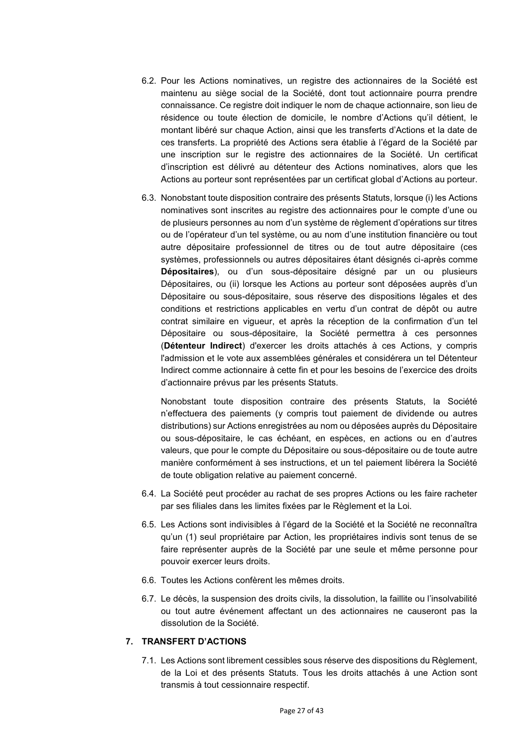- 6.2. Pour les Actions nominatives, un registre des actionnaires de la Société est maintenu au siège social de la Société, dont tout actionnaire pourra prendre connaissance. Ce registre doit indiquer le nom de chaque actionnaire, son lieu de résidence ou toute élection de domicile, le nombre d'Actions qu'il détient, le montant libéré sur chaque Action, ainsi que les transferts d'Actions et la date de ces transferts. La propriété des Actions sera établie à l'égard de la Société par une inscription sur le registre des actionnaires de la Société. Un certificat d'inscription est délivré au détenteur des Actions nominatives, alors que les Actions au porteur sont représentées par un certificat global d'Actions au porteur.
- 6.3. Nonobstant toute disposition contraire des présents Statuts, lorsque (i) les Actions nominatives sont inscrites au registre des actionnaires pour le compte d'une ou de plusieurs personnes au nom d'un système de règlement d'opérations sur titres ou de l'opérateur d'un tel système, ou au nom d'une institution financière ou tout autre dépositaire professionnel de titres ou de tout autre dépositaire (ces systèmes, professionnels ou autres dépositaires étant désignés ci-après comme **Dépositaires**), ou d'un sous-dépositaire désigné par un ou plusieurs Dépositaires, ou (ii) lorsque les Actions au porteur sont déposées auprès d'un Dépositaire ou sous-dépositaire, sous réserve des dispositions légales et des conditions et restrictions applicables en vertu d'un contrat de dépôt ou autre contrat similaire en vigueur, et après la réception de la confirmation d'un tel Dépositaire ou sous-dépositaire, la Société permettra à ces personnes (**Détenteur Indirect**) d'exercer les droits attachés à ces Actions, y compris l'admission et le vote aux assemblées générales et considérera un tel Détenteur Indirect comme actionnaire à cette fin et pour les besoins de l'exercice des droits d'actionnaire prévus par les présents Statuts.

Nonobstant toute disposition contraire des présents Statuts, la Société n'effectuera des paiements (y compris tout paiement de dividende ou autres distributions) sur Actions enregistrées au nom ou déposées auprès du Dépositaire ou sous-dépositaire, le cas échéant, en espèces, en actions ou en d'autres valeurs, que pour le compte du Dépositaire ou sous-dépositaire ou de toute autre manière conformément à ses instructions, et un tel paiement libérera la Société de toute obligation relative au paiement concerné.

- 6.4. La Société peut procéder au rachat de ses propres Actions ou les faire racheter par ses filiales dans les limites fixées par le Règlement et la Loi.
- 6.5. Les Actions sont indivisibles à l'égard de la Société et la Société ne reconnaîtra qu'un (1) seul propriétaire par Action, les propriétaires indivis sont tenus de se faire représenter auprès de la Société par une seule et même personne pour pouvoir exercer leurs droits.
- 6.6. Toutes les Actions confèrent les mêmes droits.
- 6.7. Le décès, la suspension des droits civils, la dissolution, la faillite ou l'insolvabilité ou tout autre événement affectant un des actionnaires ne causeront pas la dissolution de la Société.

## **7. TRANSFERT D'ACTIONS**

7.1. Les Actions sont librement cessibles sous réserve des dispositions du Règlement, de la Loi et des présents Statuts. Tous les droits attachés à une Action sont transmis à tout cessionnaire respectif.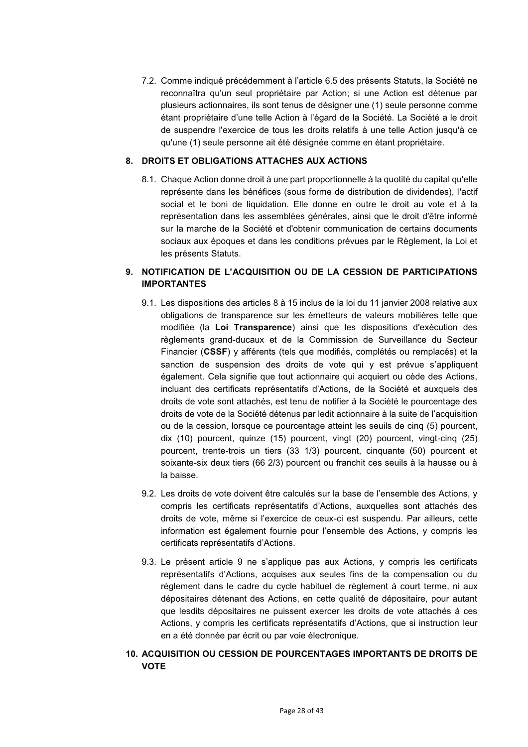7.2. Comme indiqué précédemment à l'article 6.5 des présents Statuts, la Société ne reconnaîtra qu'un seul propriétaire par Action; si une Action est détenue par plusieurs actionnaires, ils sont tenus de désigner une (1) seule personne comme étant propriétaire d'une telle Action à l'égard de la Société. La Société a le droit de suspendre l'exercice de tous les droits relatifs à une telle Action jusqu'à ce qu'une (1) seule personne ait été désignée comme en étant propriétaire.

## **8. DROITS ET OBLIGATIONS ATTACHES AUX ACTIONS**

8.1. Chaque Action donne droit à une part proportionnelle à la quotité du capital qu'elle représente dans les bénéfices (sous forme de distribution de dividendes), l'actif social et le boni de liquidation. Elle donne en outre le droit au vote et à la représentation dans les assemblées générales, ainsi que le droit d'être informé sur la marche de la Société et d'obtenir communication de certains documents sociaux aux époques et dans les conditions prévues par le Règlement, la Loi et les présents Statuts.

# **9. NOTIFICATION DE L'ACQUISITION OU DE LA CESSION DE PARTICIPATIONS IMPORTANTES**

- 9.1. Les dispositions des articles 8 à 15 inclus de la loi du 11 janvier 2008 relative aux obligations de transparence sur les émetteurs de valeurs mobilières telle que modifiée (la **Loi Transparence**) ainsi que les dispositions d'exécution des règlements grand-ducaux et de la Commission de Surveillance du Secteur Financier (**CSSF**) y afférents (tels que modifiés, complétés ou remplacés) et la sanction de suspension des droits de vote qui y est prévue s'appliquent également. Cela signifie que tout actionnaire qui acquiert ou cède des Actions, incluant des certificats représentatifs d'Actions, de la Société et auxquels des droits de vote sont attachés, est tenu de notifier à la Société le pourcentage des droits de vote de la Société détenus par ledit actionnaire à la suite de l'acquisition ou de la cession, lorsque ce pourcentage atteint les seuils de cinq (5) pourcent, dix (10) pourcent, quinze (15) pourcent, vingt (20) pourcent, vingt-cinq (25) pourcent, trente-trois un tiers (33 1/3) pourcent, cinquante (50) pourcent et soixante-six deux tiers (66 2/3) pourcent ou franchit ces seuils à la hausse ou à la baisse.
- 9.2. Les droits de vote doivent être calculés sur la base de l'ensemble des Actions, y compris les certificats représentatifs d'Actions, auxquelles sont attachés des droits de vote, même si l'exercice de ceux-ci est suspendu. Par ailleurs, cette information est également fournie pour l'ensemble des Actions, y compris les certificats représentatifs d'Actions.
- 9.3. Le présent article 9 ne s'applique pas aux Actions, y compris les certificats représentatifs d'Actions, acquises aux seules fins de la compensation ou du règlement dans le cadre du cycle habituel de règlement à court terme, ni aux dépositaires détenant des Actions, en cette qualité de dépositaire, pour autant que lesdits dépositaires ne puissent exercer les droits de vote attachés à ces Actions, y compris les certificats représentatifs d'Actions, que si instruction leur en a été donnée par écrit ou par voie électronique.
- **10. ACQUISITION OU CESSION DE POURCENTAGES IMPORTANTS DE DROITS DE VOTE**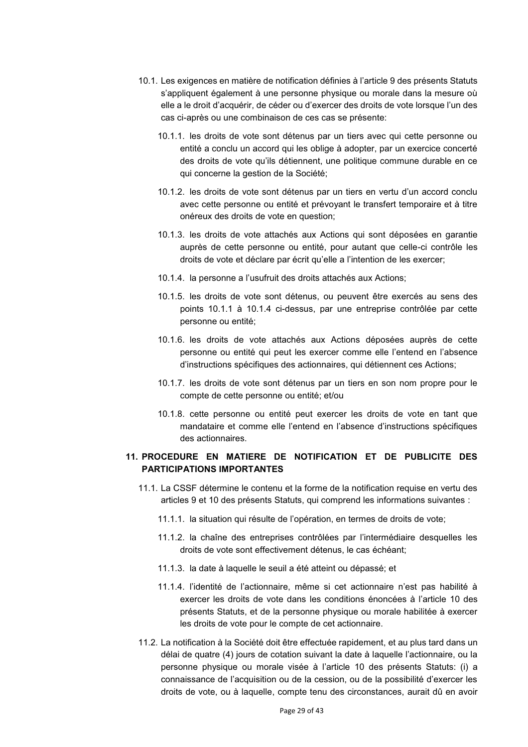- 10.1. Les exigences en matière de notification définies à l'article 9 des présents Statuts s'appliquent également à une personne physique ou morale dans la mesure où elle a le droit d'acquérir, de céder ou d'exercer des droits de vote lorsque l'un des cas ci-après ou une combinaison de ces cas se présente:
	- 10.1.1. les droits de vote sont détenus par un tiers avec qui cette personne ou entité a conclu un accord qui les oblige à adopter, par un exercice concerté des droits de vote qu'ils détiennent, une politique commune durable en ce qui concerne la gestion de la Société;
	- 10.1.2. les droits de vote sont détenus par un tiers en vertu d'un accord conclu avec cette personne ou entité et prévoyant le transfert temporaire et à titre onéreux des droits de vote en question;
	- 10.1.3. les droits de vote attachés aux Actions qui sont déposées en garantie auprès de cette personne ou entité, pour autant que celle-ci contrôle les droits de vote et déclare par écrit qu'elle a l'intention de les exercer;
	- 10.1.4. la personne a l'usufruit des droits attachés aux Actions;
	- 10.1.5. les droits de vote sont détenus, ou peuvent être exercés au sens des points 10.1.1 à 10.1.4 ci-dessus, par une entreprise contrôlée par cette personne ou entité;
	- 10.1.6. les droits de vote attachés aux Actions déposées auprès de cette personne ou entité qui peut les exercer comme elle l'entend en l'absence d'instructions spécifiques des actionnaires, qui détiennent ces Actions;
	- 10.1.7. les droits de vote sont détenus par un tiers en son nom propre pour le compte de cette personne ou entité; et/ou
	- 10.1.8. cette personne ou entité peut exercer les droits de vote en tant que mandataire et comme elle l'entend en l'absence d'instructions spécifiques des actionnaires.

## **11. PROCEDURE EN MATIERE DE NOTIFICATION ET DE PUBLICITE DES PARTICIPATIONS IMPORTANTES**

- 11.1. La CSSF détermine le contenu et la forme de la notification requise en vertu des articles 9 et 10 des présents Statuts, qui comprend les informations suivantes :
	- 11.1.1. la situation qui résulte de l'opération, en termes de droits de vote;
	- 11.1.2. la chaîne des entreprises contrôlées par l'intermédiaire desquelles les droits de vote sont effectivement détenus, le cas échéant;
	- 11.1.3. la date à laquelle le seuil a été atteint ou dépassé; et
	- 11.1.4. l'identité de l'actionnaire, même si cet actionnaire n'est pas habilité à exercer les droits de vote dans les conditions énoncées à l'article 10 des présents Statuts, et de la personne physique ou morale habilitée à exercer les droits de vote pour le compte de cet actionnaire.
- 11.2. La notification à la Société doit être effectuée rapidement, et au plus tard dans un délai de quatre (4) jours de cotation suivant la date à laquelle l'actionnaire, ou la personne physique ou morale visée à l'article 10 des présents Statuts: (i) a connaissance de l'acquisition ou de la cession, ou de la possibilité d'exercer les droits de vote, ou à laquelle, compte tenu des circonstances, aurait dû en avoir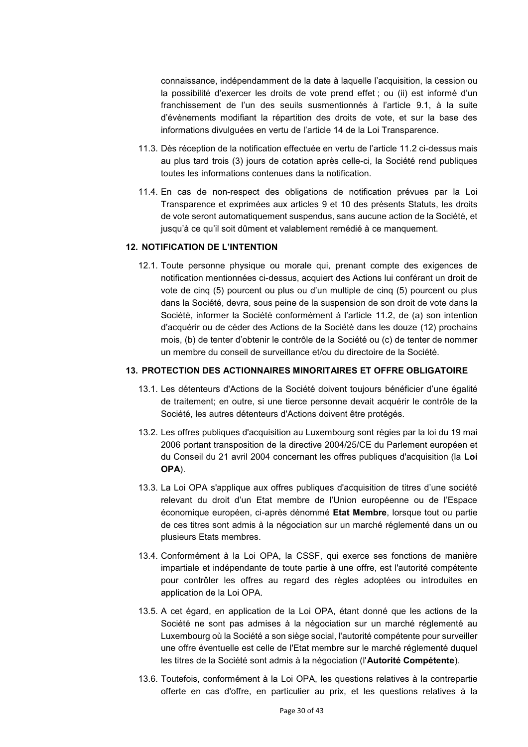connaissance, indépendamment de la date à laquelle l'acquisition, la cession ou la possibilité d'exercer les droits de vote prend effet ; ou (ii) est informé d'un franchissement de l'un des seuils susmentionnés à l'article 9.1, à la suite d'évènements modifiant la répartition des droits de vote, et sur la base des informations divulguées en vertu de l'article 14 de la Loi Transparence.

- 11.3. Dès réception de la notification effectuée en vertu de l'article 11.2 ci-dessus mais au plus tard trois (3) jours de cotation après celle-ci, la Société rend publiques toutes les informations contenues dans la notification.
- 11.4. En cas de non-respect des obligations de notification prévues par la Loi Transparence et exprimées aux articles 9 et 10 des présents Statuts, les droits de vote seront automatiquement suspendus, sans aucune action de la Société, et jusqu'à ce qu'il soit dûment et valablement remédié à ce manquement.

### **12. NOTIFICATION DE L'INTENTION**

12.1. Toute personne physique ou morale qui, prenant compte des exigences de notification mentionnées ci-dessus, acquiert des Actions lui conférant un droit de vote de cinq (5) pourcent ou plus ou d'un multiple de cinq (5) pourcent ou plus dans la Société, devra, sous peine de la suspension de son droit de vote dans la Société, informer la Société conformément à l'article 11.2, de (a) son intention d'acquérir ou de céder des Actions de la Société dans les douze (12) prochains mois, (b) de tenter d'obtenir le contrôle de la Société ou (c) de tenter de nommer un membre du conseil de surveillance et/ou du directoire de la Société.

#### **13. PROTECTION DES ACTIONNAIRES MINORITAIRES ET OFFRE OBLIGATOIRE**

- 13.1. Les détenteurs d'Actions de la Société doivent toujours bénéficier d'une égalité de traitement; en outre, si une tierce personne devait acquérir le contrôle de la Société, les autres détenteurs d'Actions doivent être protégés.
- 13.2. Les offres publiques d'acquisition au Luxembourg sont régies par la loi du 19 mai 2006 portant transposition de la directive 2004/25/CE du Parlement européen et du Conseil du 21 avril 2004 concernant les offres publiques d'acquisition (la **Loi OPA**).
- 13.3. La Loi OPA s'applique aux offres publiques d'acquisition de titres d'une société relevant du droit d'un Etat membre de l'Union européenne ou de l'Espace économique européen, ci-après dénommé **Etat Membre**, lorsque tout ou partie de ces titres sont admis à la négociation sur un marché réglementé dans un ou plusieurs Etats membres.
- 13.4. Conformément à la Loi OPA, la CSSF, qui exerce ses fonctions de manière impartiale et indépendante de toute partie à une offre, est l'autorité compétente pour contrôler les offres au regard des règles adoptées ou introduites en application de la Loi OPA.
- 13.5. A cet égard, en application de la Loi OPA, étant donné que les actions de la Société ne sont pas admises à la négociation sur un marché réglementé au Luxembourg où la Société a son siège social, l'autorité compétente pour surveiller une offre éventuelle est celle de l'Etat membre sur le marché réglementé duquel les titres de la Société sont admis à la négociation (l'**Autorité Compétente**).
- 13.6. Toutefois, conformément à la Loi OPA, les questions relatives à la contrepartie offerte en cas d'offre, en particulier au prix, et les questions relatives à la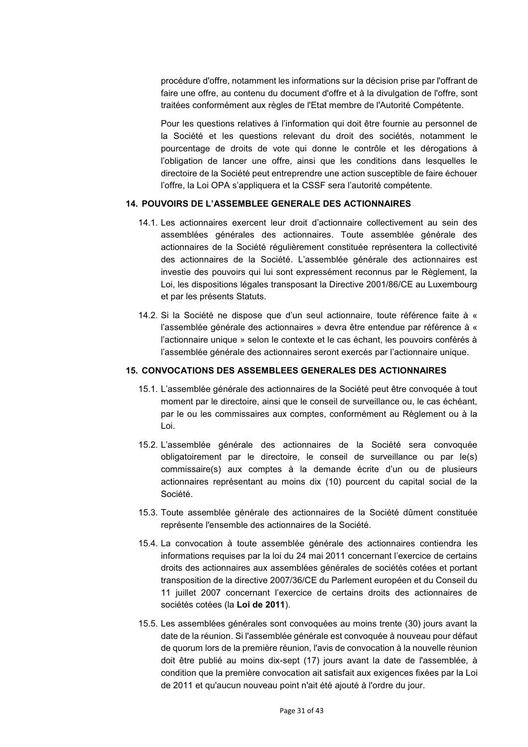procédure d'offre, notamment les informations sur la décision prise par l'offrant de faire une offre, au contenu du document d'offre et à la divulgation de l'offre, sont traitées conformément aux règles de l'Etat membre de l'Autorité Compétente.

Pour les questions relatives à l'information qui doit être fournie au personnel de la Société et les questions relevant du droit des sociétés, notamment le pourcentage de droits de vote qui donne le contrôle et les dérogations à l'obligation de lancer une offre, ainsi que les conditions dans lesquelles le directoire de la Société peut entreprendre une action susceptible de faire échouer l'offre, la Loi OPA s'appliquera et la CSSF sera l'autorité compétente.

### **14. POUVOIRS DE L'ASSEMBLEE GENERALE DES ACTIONNAIRES**

- 14.1. Les actionnaires exercent leur droit d'actionnaire collectivement au sein des assemblées générales des actionnaires. Toute assemblée générale des actionnaires de la Société régulièrement constituée représentera la collectivité des actionnaires de la Société. L'assemblée générale des actionnaires est investie des pouvoirs qui lui sont expressément reconnus par le Règlement, la Loi, les dispositions légales transposant la Directive 2001/86/CE au Luxembourg et par les présents Statuts.
- 14.2. Si la Société ne dispose que d'un seul actionnaire, toute référence faite à « l'assemblée générale des actionnaires » devra être entendue par référence à « l'actionnaire unique » selon le contexte et le cas échant, les pouvoirs conférés à l'assemblée générale des actionnaires seront exercés par l'actionnaire unique.

#### **15. CONVOCATIONS DES ASSEMBLEES GENERALES DES ACTIONNAIRES**

- 15.1. L'assemblée générale des actionnaires de la Société peut être convoquée à tout moment par le directoire, ainsi que le conseil de surveillance ou, le cas échéant, par le ou les commissaires aux comptes, conformément au Règlement ou à la Loi.
- 15.2. L'assemblée générale des actionnaires de la Société sera convoquée obligatoirement par le directoire, le conseil de surveillance ou par le(s) commissaire(s) aux comptes à la demande écrite d'un ou de plusieurs actionnaires représentant au moins dix (10) pourcent du capital social de la Société.
- 15.3. Toute assemblée générale des actionnaires de la Société dûment constituée représente l'ensemble des actionnaires de la Société.
- 15.4. La convocation à toute assemblée générale des actionnaires contiendra les informations requises par la loi du 24 mai 2011 concernant l'exercice de certains droits des actionnaires aux assemblées générales de sociétés cotées et portant transposition de la directive 2007/36/CE du Parlement européen et du Conseil du 11 juillet 2007 concernant l'exercice de certains droits des actionnaires de sociétés cotées (la **Loi de 2011**).
- 15.5. Les assemblées générales sont convoquées au moins trente (30) jours avant la date de la réunion. Si l'assemblée générale est convoquée à nouveau pour défaut de quorum lors de la première réunion, l'avis de convocation à la nouvelle réunion doit être publié au moins dix-sept (17) jours avant la date de l'assemblée, à condition que la première convocation ait satisfait aux exigences fixées par la Loi de 2011 et qu'aucun nouveau point n'ait été ajouté à l'ordre du jour.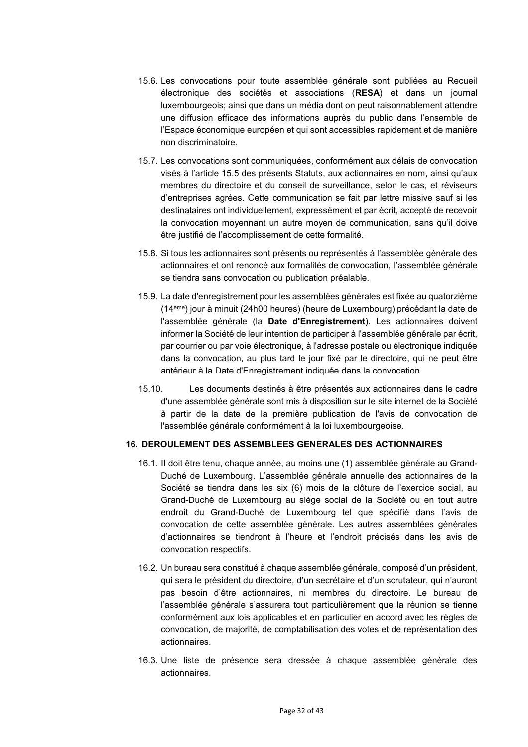- 15.6. Les convocations pour toute assemblée générale sont publiées au Recueil électronique des sociétés et associations (**RESA**) et dans un journal luxembourgeois; ainsi que dans un média dont on peut raisonnablement attendre une diffusion efficace des informations auprès du public dans l'ensemble de l'Espace économique européen et qui sont accessibles rapidement et de manière non discriminatoire.
- 15.7. Les convocations sont communiquées, conformément aux délais de convocation visés à l'article 15.5 des présents Statuts, aux actionnaires en nom, ainsi qu'aux membres du directoire et du conseil de surveillance, selon le cas, et réviseurs d'entreprises agrées. Cette communication se fait par lettre missive sauf si les destinataires ont individuellement, expressément et par écrit, accepté de recevoir la convocation moyennant un autre moyen de communication, sans qu'il doive être justifié de l'accomplissement de cette formalité.
- 15.8. Si tous les actionnaires sont présents ou représentés à l'assemblée générale des actionnaires et ont renoncé aux formalités de convocation, l'assemblée générale se tiendra sans convocation ou publication préalable.
- 15.9. La date d'enregistrement pour les assemblées générales est fixée au quatorzième (14ème) jour à minuit (24h00 heures) (heure de Luxembourg) précédant la date de l'assemblée générale (la **Date d'Enregistrement**). Les actionnaires doivent informer la Société de leur intention de participer à l'assemblée générale par écrit, par courrier ou par voie électronique, à l'adresse postale ou électronique indiquée dans la convocation, au plus tard le jour fixé par le directoire, qui ne peut être antérieur à la Date d'Enregistrement indiquée dans la convocation.
- 15.10. Les documents destinés à être présentés aux actionnaires dans le cadre d'une assemblée générale sont mis à disposition sur le site internet de la Société à partir de la date de la première publication de l'avis de convocation de l'assemblée générale conformément à la loi luxembourgeoise.

#### **16. DEROULEMENT DES ASSEMBLEES GENERALES DES ACTIONNAIRES**

- 16.1. II doit être tenu, chaque année, au moins une (1) assemblée générale au Grand-Duché de Luxembourg. L'assemblée générale annuelle des actionnaires de la Société se tiendra dans les six (6) mois de la clôture de l'exercice social, au Grand-Duché de Luxembourg au siège social de la Société ou en tout autre endroit du Grand-Duché de Luxembourg tel que spécifié dans l'avis de convocation de cette assemblée générale. Les autres assemblées générales d'actionnaires se tiendront à l'heure et l'endroit précisés dans les avis de convocation respectifs.
- 16.2. Un bureau sera constitué à chaque assemblée générale, composé d'un président, qui sera le président du directoire, d'un secrétaire et d'un scrutateur, qui n'auront pas besoin d'être actionnaires, ni membres du directoire. Le bureau de l'assemblée générale s'assurera tout particulièrement que la réunion se tienne conformément aux lois applicables et en particulier en accord avec les règles de convocation, de majorité, de comptabilisation des votes et de représentation des actionnaires.
- 16.3. Une liste de présence sera dressée à chaque assemblée générale des actionnaires.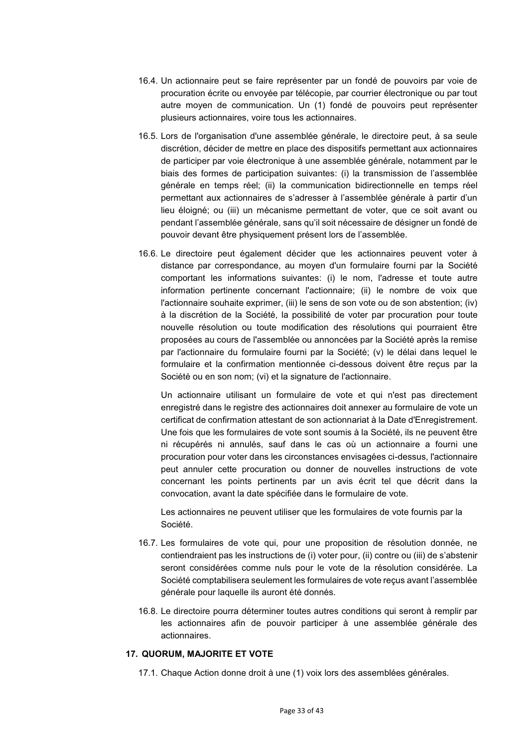- 16.4. Un actionnaire peut se faire représenter par un fondé de pouvoirs par voie de procuration écrite ou envoyée par télécopie, par courrier électronique ou par tout autre moyen de communication. Un (1) fondé de pouvoirs peut représenter plusieurs actionnaires, voire tous les actionnaires.
- 16.5. Lors de l'organisation d'une assemblée générale, le directoire peut, à sa seule discrétion, décider de mettre en place des dispositifs permettant aux actionnaires de participer par voie électronique à une assemblée générale, notamment par le biais des formes de participation suivantes: (i) la transmission de l'assemblée générale en temps réel; (ii) la communication bidirectionnelle en temps réel permettant aux actionnaires de s'adresser à l'assemblée générale à partir d'un lieu éloigné; ou (iii) un mécanisme permettant de voter, que ce soit avant ou pendant l'assemblée générale, sans qu'il soit nécessaire de désigner un fondé de pouvoir devant être physiquement présent lors de l'assemblée.
- 16.6. Le directoire peut également décider que les actionnaires peuvent voter à distance par correspondance, au moyen d'un formulaire fourni par la Société comportant les informations suivantes: (i) le nom, l'adresse et toute autre information pertinente concernant l'actionnaire; (ii) le nombre de voix que l'actionnaire souhaite exprimer, (iii) le sens de son vote ou de son abstention; (iv) à la discrétion de la Société, la possibilité de voter par procuration pour toute nouvelle résolution ou toute modification des résolutions qui pourraient être proposées au cours de l'assemblée ou annoncées par la Société après la remise par l'actionnaire du formulaire fourni par la Société; (v) le délai dans lequel le formulaire et la confirmation mentionnée ci-dessous doivent être reçus par la Société ou en son nom; (vi) et la signature de l'actionnaire.

Un actionnaire utilisant un formulaire de vote et qui n'est pas directement enregistré dans le registre des actionnaires doit annexer au formulaire de vote un certificat de confirmation attestant de son actionnariat à la Date d'Enregistrement. Une fois que les formulaires de vote sont soumis à la Société, ils ne peuvent être ni récupérés ni annulés, sauf dans le cas où un actionnaire a fourni une procuration pour voter dans les circonstances envisagées ci-dessus, l'actionnaire peut annuler cette procuration ou donner de nouvelles instructions de vote concernant les points pertinents par un avis écrit tel que décrit dans la convocation, avant la date spécifiée dans le formulaire de vote.

Les actionnaires ne peuvent utiliser que les formulaires de vote fournis par la Société.

- 16.7. Les formulaires de vote qui, pour une proposition de résolution donnée, ne contiendraient pas les instructions de (i) voter pour, (ii) contre ou (iii) de s'abstenir seront considérées comme nuls pour le vote de la résolution considérée. La Société comptabilisera seulement les formulaires de vote reçus avant l'assemblée générale pour laquelle ils auront été donnés.
- 16.8. Le directoire pourra déterminer toutes autres conditions qui seront à remplir par les actionnaires afin de pouvoir participer à une assemblée générale des actionnaires.

## **17. QUORUM, MAJORITE ET VOTE**

17.1. Chaque Action donne droit à une (1) voix lors des assemblées générales.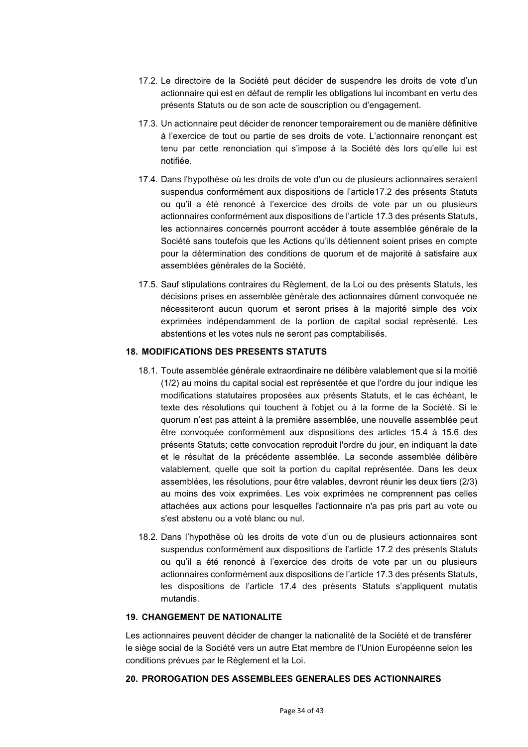- 17.2. Le directoire de la Société peut décider de suspendre les droits de vote d'un actionnaire qui est en défaut de remplir les obligations lui incombant en vertu des présents Statuts ou de son acte de souscription ou d'engagement.
- 17.3. Un actionnaire peut décider de renoncer temporairement ou de manière définitive à l'exercice de tout ou partie de ses droits de vote. L'actionnaire renonçant est tenu par cette renonciation qui s'impose à la Société dès lors qu'elle lui est notifiée.
- 17.4. Dans l'hypothèse où les droits de vote d'un ou de plusieurs actionnaires seraient suspendus conformément aux dispositions de l'article17.2 des présents Statuts ou qu'il a été renoncé à l'exercice des droits de vote par un ou plusieurs actionnaires conformément aux dispositions de l'article 17.3 des présents Statuts, les actionnaires concernés pourront accéder à toute assemblée générale de la Société sans toutefois que les Actions qu'ils détiennent soient prises en compte pour la détermination des conditions de quorum et de majorité à satisfaire aux assemblées générales de la Société.
- 17.5. Sauf stipulations contraires du Règlement, de la Loi ou des présents Statuts, les décisions prises en assemblée générale des actionnaires dûment convoquée ne nécessiteront aucun quorum et seront prises à la majorité simple des voix exprimées indépendamment de la portion de capital social représenté. Les abstentions et les votes nuls ne seront pas comptabilisés.

### **18. MODIFICATIONS DES PRESENTS STATUTS**

- 18.1. Toute assemblée générale extraordinaire ne délibère valablement que si la moitié (1/2) au moins du capital social est représentée et que l'ordre du jour indique les modifications statutaires proposées aux présents Statuts, et le cas échéant, le texte des résolutions qui touchent à l'objet ou à la forme de la Société. Si le quorum n'est pas atteint à la première assemblée, une nouvelle assemblée peut être convoquée conformément aux dispositions des articles 15.4 à 15.6 des présents Statuts; cette convocation reproduit l'ordre du jour, en indiquant la date et le résultat de la précédente assemblée. La seconde assemblée délibère valablement, quelle que soit la portion du capital représentée. Dans les deux assemblées, les résolutions, pour être valables, devront réunir les deux tiers (2/3) au moins des voix exprimées. Les voix exprimées ne comprennent pas celles attachées aux actions pour lesquelles l'actionnaire n'a pas pris part au vote ou s'est abstenu ou a voté blanc ou nul.
- 18.2. Dans l'hypothèse où les droits de vote d'un ou de plusieurs actionnaires sont suspendus conformément aux dispositions de l'article 17.2 des présents Statuts ou qu'il a été renoncé à l'exercice des droits de vote par un ou plusieurs actionnaires conformément aux dispositions de l'article 17.3 des présents Statuts, les dispositions de l'article 17.4 des présents Statuts s'appliquent mutatis mutandis.

### **19. CHANGEMENT DE NATIONALITE**

Les actionnaires peuvent décider de changer la nationalité de la Société et de transférer le siège social de la Société vers un autre Etat membre de l'Union Européenne selon les conditions prévues par le Règlement et la Loi.

#### **20. PROROGATION DES ASSEMBLEES GENERALES DES ACTIONNAIRES**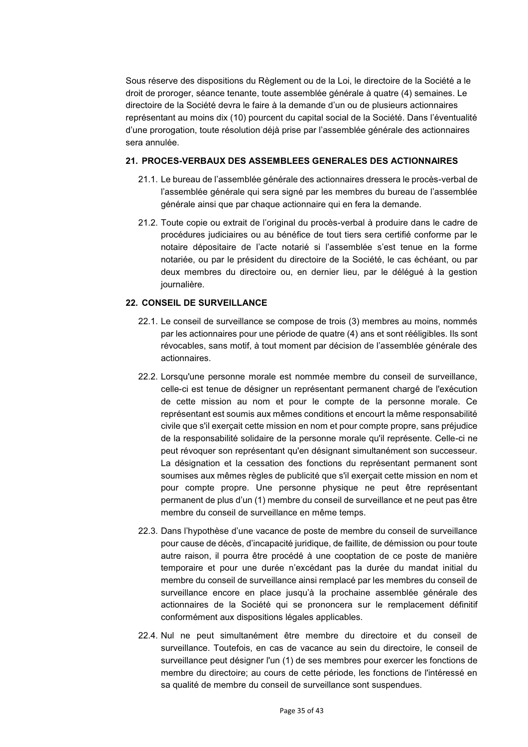Sous réserve des dispositions du Règlement ou de la Loi, le directoire de la Société a le droit de proroger, séance tenante, toute assemblée générale à quatre (4) semaines. Le directoire de la Société devra le faire à la demande d'un ou de plusieurs actionnaires représentant au moins dix (10) pourcent du capital social de la Société. Dans l'éventualité d'une prorogation, toute résolution déjà prise par l'assemblée générale des actionnaires sera annulée.

### **21. PROCES-VERBAUX DES ASSEMBLEES GENERALES DES ACTIONNAIRES**

- 21.1. Le bureau de l'assemblée générale des actionnaires dressera le procès-verbal de l'assemblée générale qui sera signé par les membres du bureau de l'assemblée générale ainsi que par chaque actionnaire qui en fera la demande.
- 21.2. Toute copie ou extrait de l'original du procès-verbal à produire dans le cadre de procédures judiciaires ou au bénéfice de tout tiers sera certifié conforme par le notaire dépositaire de l'acte notarié si l'assemblée s'est tenue en la forme notariée, ou par le président du directoire de la Société, le cas échéant, ou par deux membres du directoire ou, en dernier lieu, par le délégué à la gestion journalière.

## **22. CONSEIL DE SURVEILLANCE**

- 22.1. Le conseil de surveillance se compose de trois (3) membres au moins, nommés par les actionnaires pour une période de quatre (4) ans et sont rééligibles. Ils sont révocables, sans motif, à tout moment par décision de l'assemblée générale des actionnaires.
- 22.2. Lorsqu'une personne morale est nommée membre du conseil de surveillance, celle-ci est tenue de désigner un représentant permanent chargé de l'exécution de cette mission au nom et pour le compte de la personne morale. Ce représentant est soumis aux mêmes conditions et encourt la même responsabilité civile que s'il exerçait cette mission en nom et pour compte propre, sans préjudice de la responsabilité solidaire de la personne morale qu'il représente. Celle-ci ne peut révoquer son représentant qu'en désignant simultanément son successeur. La désignation et la cessation des fonctions du représentant permanent sont soumises aux mêmes règles de publicité que s'il exerçait cette mission en nom et pour compte propre. Une personne physique ne peut être représentant permanent de plus d'un (1) membre du conseil de surveillance et ne peut pas être membre du conseil de surveillance en même temps.
- 22.3. Dans l'hypothèse d'une vacance de poste de membre du conseil de surveillance pour cause de décès, d'incapacité juridique, de faillite, de démission ou pour toute autre raison, il pourra être procédé à une cooptation de ce poste de manière temporaire et pour une durée n'excédant pas la durée du mandat initial du membre du conseil de surveillance ainsi remplacé par les membres du conseil de surveillance encore en place jusqu'à la prochaine assemblée générale des actionnaires de la Société qui se prononcera sur le remplacement définitif conformément aux dispositions légales applicables.
- 22.4. Nul ne peut simultanément être membre du directoire et du conseil de surveillance. Toutefois, en cas de vacance au sein du directoire, le conseil de surveillance peut désigner l'un (1) de ses membres pour exercer les fonctions de membre du directoire; au cours de cette période, les fonctions de l'intéressé en sa qualité de membre du conseil de surveillance sont suspendues.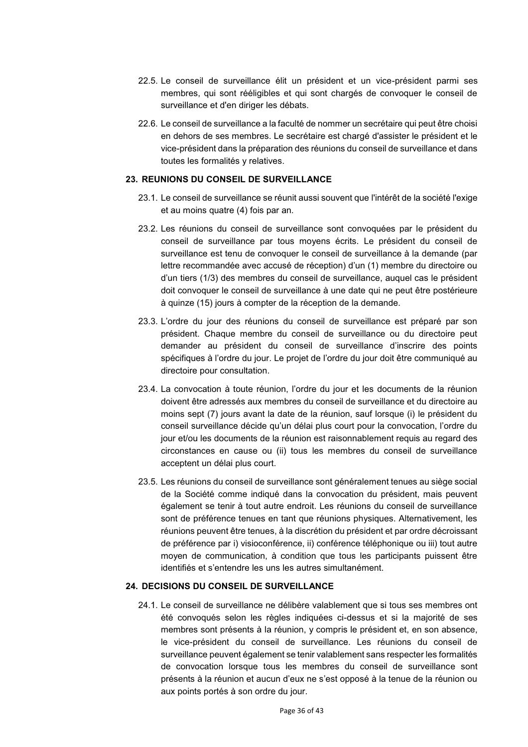- 22.5. Le conseil de surveillance élit un président et un vice-président parmi ses membres, qui sont rééligibles et qui sont chargés de convoquer le conseil de surveillance et d'en diriger les débats.
- 22.6. Le conseil de surveillance a la faculté de nommer un secrétaire qui peut être choisi en dehors de ses membres. Le secrétaire est chargé d'assister le président et le vice-président dans la préparation des réunions du conseil de surveillance et dans toutes les formalités y relatives.

### **23. REUNIONS DU CONSEIL DE SURVEILLANCE**

- 23.1. Le conseil de surveillance se réunit aussi souvent que l'intérêt de la société l'exige et au moins quatre (4) fois par an.
- 23.2. Les réunions du conseil de surveillance sont convoquées par le président du conseil de surveillance par tous moyens écrits. Le président du conseil de surveillance est tenu de convoquer le conseil de surveillance à la demande (par lettre recommandée avec accusé de réception) d'un (1) membre du directoire ou d'un tiers (1/3) des membres du conseil de surveillance, auquel cas le président doit convoquer le conseil de surveillance à une date qui ne peut être postérieure à quinze (15) jours à compter de la réception de la demande.
- 23.3. L'ordre du jour des réunions du conseil de surveillance est préparé par son président. Chaque membre du conseil de surveillance ou du directoire peut demander au président du conseil de surveillance d'inscrire des points spécifiques à l'ordre du jour. Le projet de l'ordre du jour doit être communiqué au directoire pour consultation.
- 23.4. La convocation à toute réunion, l'ordre du jour et les documents de la réunion doivent être adressés aux membres du conseil de surveillance et du directoire au moins sept (7) jours avant la date de la réunion, sauf lorsque (i) le président du conseil surveillance décide qu'un délai plus court pour la convocation, l'ordre du jour et/ou les documents de la réunion est raisonnablement requis au regard des circonstances en cause ou (ii) tous les membres du conseil de surveillance acceptent un délai plus court.
- 23.5. Les réunions du conseil de surveillance sont généralement tenues au siège social de la Société comme indiqué dans la convocation du président, mais peuvent également se tenir à tout autre endroit. Les réunions du conseil de surveillance sont de préférence tenues en tant que réunions physiques. Alternativement, les réunions peuvent être tenues, à la discrétion du président et par ordre décroissant de préférence par i) visioconférence, ii) conférence téléphonique ou iii) tout autre moyen de communication, à condition que tous les participants puissent être identifiés et s'entendre les uns les autres simultanément.

## **24. DECISIONS DU CONSEIL DE SURVEILLANCE**

24.1. Le conseil de surveillance ne délibère valablement que si tous ses membres ont été convoqués selon les règles indiquées ci-dessus et si la majorité de ses membres sont présents à la réunion, y compris le président et, en son absence, le vice-président du conseil de surveillance. Les réunions du conseil de surveillance peuvent également se tenir valablement sans respecter les formalités de convocation lorsque tous les membres du conseil de surveillance sont présents à la réunion et aucun d'eux ne s'est opposé à la tenue de la réunion ou aux points portés à son ordre du jour.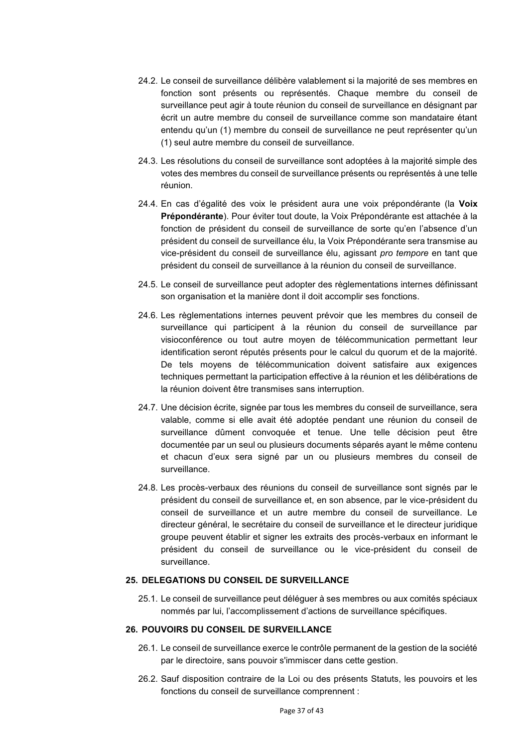- 24.2. Le conseil de surveillance délibère valablement si la majorité de ses membres en fonction sont présents ou représentés. Chaque membre du conseil de surveillance peut agir à toute réunion du conseil de surveillance en désignant par écrit un autre membre du conseil de surveillance comme son mandataire étant entendu qu'un (1) membre du conseil de surveillance ne peut représenter qu'un (1) seul autre membre du conseil de surveillance.
- 24.3. Les résolutions du conseil de surveillance sont adoptées à la majorité simple des votes des membres du conseil de surveillance présents ou représentés à une telle réunion.
- 24.4. En cas d'égalité des voix le président aura une voix prépondérante (la **Voix Prépondérante**). Pour éviter tout doute, la Voix Prépondérante est attachée à la fonction de président du conseil de surveillance de sorte qu'en l'absence d'un président du conseil de surveillance élu, la Voix Prépondérante sera transmise au vice-président du conseil de surveillance élu, agissant *pro tempore* en tant que président du conseil de surveillance à la réunion du conseil de surveillance.
- 24.5. Le conseil de surveillance peut adopter des règlementations internes définissant son organisation et la manière dont il doit accomplir ses fonctions.
- 24.6. Les règlementations internes peuvent prévoir que les membres du conseil de surveillance qui participent à la réunion du conseil de surveillance par visioconférence ou tout autre moyen de télécommunication permettant leur identification seront réputés présents pour le calcul du quorum et de la majorité. De tels moyens de télécommunication doivent satisfaire aux exigences techniques permettant la participation effective à la réunion et les délibérations de la réunion doivent être transmises sans interruption.
- 24.7. Une décision écrite, signée par tous les membres du conseil de surveillance, sera valable, comme si elle avait été adoptée pendant une réunion du conseil de surveillance dûment convoquée et tenue. Une telle décision peut être documentée par un seul ou plusieurs documents séparés ayant le même contenu et chacun d'eux sera signé par un ou plusieurs membres du conseil de surveillance.
- 24.8. Les procès-verbaux des réunions du conseil de surveillance sont signés par le président du conseil de surveillance et, en son absence, par le vice-président du conseil de surveillance et un autre membre du conseil de surveillance. Le directeur général, le secrétaire du conseil de surveillance et le directeur juridique groupe peuvent établir et signer les extraits des procès-verbaux en informant le président du conseil de surveillance ou le vice-président du conseil de surveillance.

## **25. DELEGATIONS DU CONSEIL DE SURVEILLANCE**

25.1. Le conseil de surveillance peut déléguer à ses membres ou aux comités spéciaux nommés par lui, l'accomplissement d'actions de surveillance spécifiques.

#### **26. POUVOIRS DU CONSEIL DE SURVEILLANCE**

- 26.1. Le conseil de surveillance exerce le contrôle permanent de la gestion de la société par le directoire, sans pouvoir s'immiscer dans cette gestion.
- 26.2. Sauf disposition contraire de la Loi ou des présents Statuts, les pouvoirs et les fonctions du conseil de surveillance comprennent :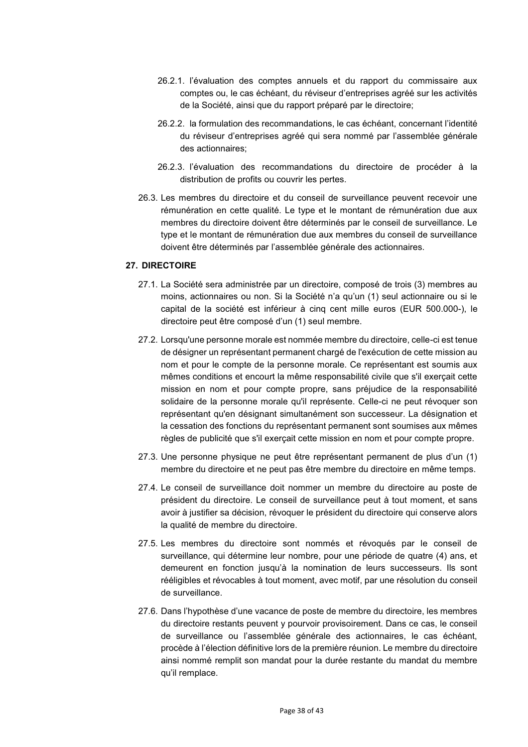- 26.2.1. l'évaluation des comptes annuels et du rapport du commissaire aux comptes ou, le cas échéant, du réviseur d'entreprises agréé sur les activités de la Société, ainsi que du rapport préparé par le directoire;
- 26.2.2. la formulation des recommandations, le cas échéant, concernant l'identité du réviseur d'entreprises agréé qui sera nommé par l'assemblée générale des actionnaires;
- 26.2.3. l'évaluation des recommandations du directoire de procéder à la distribution de profits ou couvrir les pertes.
- 26.3. Les membres du directoire et du conseil de surveillance peuvent recevoir une rémunération en cette qualité. Le type et le montant de rémunération due aux membres du directoire doivent être déterminés par le conseil de surveillance. Le type et le montant de rémunération due aux membres du conseil de surveillance doivent être déterminés par l'assemblée générale des actionnaires.

### **27. DIRECTOIRE**

- 27.1. La Société sera administrée par un directoire, composé de trois (3) membres au moins, actionnaires ou non. Si la Société n'a qu'un (1) seul actionnaire ou si le capital de la société est inférieur à cinq cent mille euros (EUR 500.000-), le directoire peut être composé d'un (1) seul membre.
- 27.2. Lorsqu'une personne morale est nommée membre du directoire, celle-ci est tenue de désigner un représentant permanent chargé de l'exécution de cette mission au nom et pour le compte de la personne morale. Ce représentant est soumis aux mêmes conditions et encourt la même responsabilité civile que s'il exerçait cette mission en nom et pour compte propre, sans préjudice de la responsabilité solidaire de la personne morale qu'il représente. Celle-ci ne peut révoquer son représentant qu'en désignant simultanément son successeur. La désignation et la cessation des fonctions du représentant permanent sont soumises aux mêmes règles de publicité que s'il exerçait cette mission en nom et pour compte propre.
- 27.3. Une personne physique ne peut être représentant permanent de plus d'un (1) membre du directoire et ne peut pas être membre du directoire en même temps.
- 27.4. Le conseil de surveillance doit nommer un membre du directoire au poste de président du directoire. Le conseil de surveillance peut à tout moment, et sans avoir à justifier sa décision, révoquer le président du directoire qui conserve alors la qualité de membre du directoire.
- 27.5. Les membres du directoire sont nommés et révoqués par le conseil de surveillance, qui détermine leur nombre, pour une période de quatre (4) ans, et demeurent en fonction jusqu'à la nomination de leurs successeurs. Ils sont rééligibles et révocables à tout moment, avec motif, par une résolution du conseil de surveillance.
- 27.6. Dans l'hypothèse d'une vacance de poste de membre du directoire, les membres du directoire restants peuvent y pourvoir provisoirement. Dans ce cas, le conseil de surveillance ou l'assemblée générale des actionnaires, le cas échéant, procède à l'élection définitive lors de la première réunion. Le membre du directoire ainsi nommé remplit son mandat pour la durée restante du mandat du membre qu'il remplace.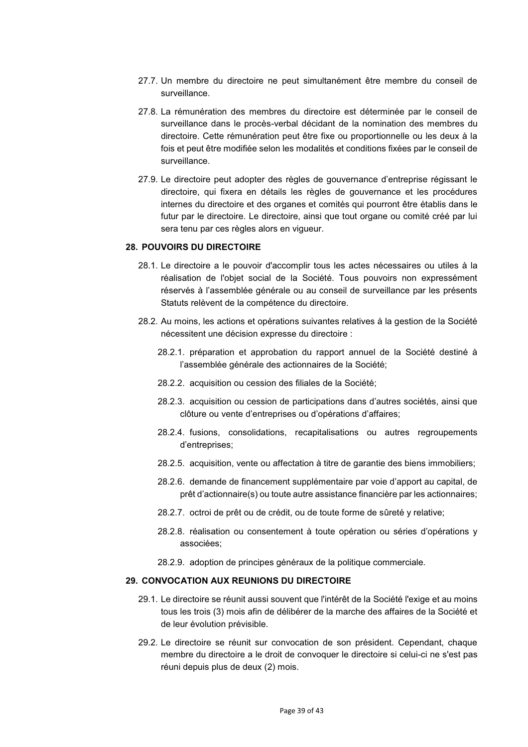- 27.7. Un membre du directoire ne peut simultanément être membre du conseil de surveillance.
- 27.8. La rémunération des membres du directoire est déterminée par le conseil de surveillance dans le procès-verbal décidant de la nomination des membres du directoire. Cette rémunération peut être fixe ou proportionnelle ou les deux à la fois et peut être modifiée selon les modalités et conditions fixées par le conseil de surveillance.
- 27.9. Le directoire peut adopter des règles de gouvernance d'entreprise régissant le directoire, qui fixera en détails les règles de gouvernance et les procédures internes du directoire et des organes et comités qui pourront être établis dans le futur par le directoire. Le directoire, ainsi que tout organe ou comité créé par lui sera tenu par ces règles alors en vigueur.

### **28. POUVOIRS DU DIRECTOIRE**

- 28.1. Le directoire a le pouvoir d'accomplir tous les actes nécessaires ou utiles à la réalisation de l'objet social de la Société. Tous pouvoirs non expressément réservés à l'assemblée générale ou au conseil de surveillance par les présents Statuts relèvent de la compétence du directoire.
- 28.2. Au moins, les actions et opérations suivantes relatives à la gestion de la Société nécessitent une décision expresse du directoire :
	- 28.2.1. préparation et approbation du rapport annuel de la Société destiné à l'assemblée générale des actionnaires de la Société;
	- 28.2.2. acquisition ou cession des filiales de la Société;
	- 28.2.3. acquisition ou cession de participations dans d'autres sociétés, ainsi que clôture ou vente d'entreprises ou d'opérations d'affaires;
	- 28.2.4. fusions, consolidations, recapitalisations ou autres regroupements d'entreprises;
	- 28.2.5. acquisition, vente ou affectation à titre de garantie des biens immobiliers;
	- 28.2.6. demande de financement supplémentaire par voie d'apport au capital, de prêt d'actionnaire(s) ou toute autre assistance financière par les actionnaires;
	- 28.2.7. octroi de prêt ou de crédit, ou de toute forme de sûreté y relative;
	- 28.2.8. réalisation ou consentement à toute opération ou séries d'opérations y associées;
	- 28.2.9. adoption de principes généraux de la politique commerciale.

#### **29. CONVOCATION AUX REUNIONS DU DIRECTOIRE**

- 29.1. Le directoire se réunit aussi souvent que l'intérêt de la Société l'exige et au moins tous les trois (3) mois afin de délibérer de la marche des affaires de la Société et de leur évolution prévisible.
- 29.2. Le directoire se réunit sur convocation de son président. Cependant, chaque membre du directoire a le droit de convoquer le directoire si celui-ci ne s'est pas réuni depuis plus de deux (2) mois.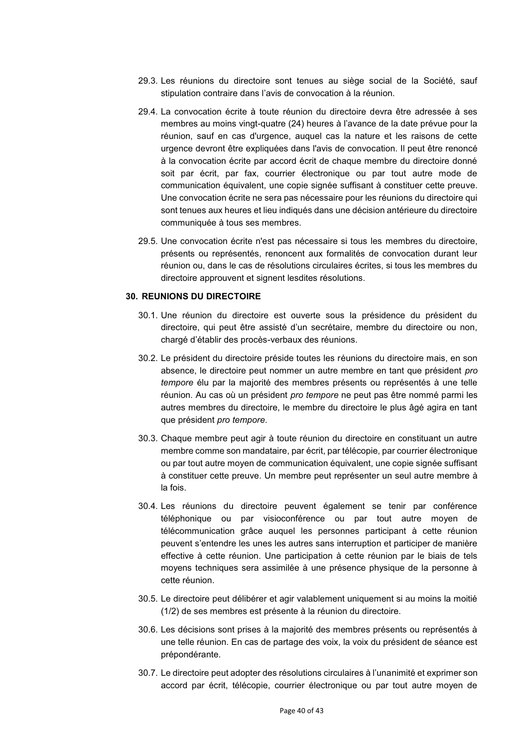- 29.3. Les réunions du directoire sont tenues au siège social de la Société, sauf stipulation contraire dans l'avis de convocation à la réunion.
- 29.4. La convocation écrite à toute réunion du directoire devra être adressée à ses membres au moins vingt-quatre (24) heures à l'avance de la date prévue pour la réunion, sauf en cas d'urgence, auquel cas la nature et les raisons de cette urgence devront être expliquées dans l'avis de convocation. Il peut être renoncé à la convocation écrite par accord écrit de chaque membre du directoire donné soit par écrit, par fax, courrier électronique ou par tout autre mode de communication équivalent, une copie signée suffisant à constituer cette preuve. Une convocation écrite ne sera pas nécessaire pour les réunions du directoire qui sont tenues aux heures et lieu indiqués dans une décision antérieure du directoire communiquée à tous ses membres.
- 29.5. Une convocation écrite n'est pas nécessaire si tous les membres du directoire, présents ou représentés, renoncent aux formalités de convocation durant leur réunion ou, dans le cas de résolutions circulaires écrites, si tous les membres du directoire approuvent et signent lesdites résolutions.

#### **30. REUNIONS DU DIRECTOIRE**

- 30.1. Une réunion du directoire est ouverte sous la présidence du président du directoire, qui peut être assisté d'un secrétaire, membre du directoire ou non, chargé d'établir des procès-verbaux des réunions.
- 30.2. Le président du directoire préside toutes les réunions du directoire mais, en son absence, le directoire peut nommer un autre membre en tant que président *pro tempore* élu par la majorité des membres présents ou représentés à une telle réunion. Au cas où un président *pro tempore* ne peut pas être nommé parmi les autres membres du directoire, le membre du directoire le plus âgé agira en tant que président *pro tempore*.
- 30.3. Chaque membre peut agir à toute réunion du directoire en constituant un autre membre comme son mandataire, par écrit, par télécopie, par courrier électronique ou par tout autre moyen de communication équivalent, une copie signée suffisant à constituer cette preuve. Un membre peut représenter un seul autre membre à la fois.
- 30.4. Les réunions du directoire peuvent également se tenir par conférence téléphonique ou par visioconférence ou par tout autre moyen de télécommunication grâce auquel les personnes participant à cette réunion peuvent s'entendre les unes les autres sans interruption et participer de manière effective à cette réunion. Une participation à cette réunion par le biais de tels moyens techniques sera assimilée à une présence physique de la personne à cette réunion.
- 30.5. Le directoire peut délibérer et agir valablement uniquement si au moins la moitié (1/2) de ses membres est présente à la réunion du directoire.
- 30.6. Les décisions sont prises à la majorité des membres présents ou représentés à une telle réunion. En cas de partage des voix, la voix du président de séance est prépondérante.
- 30.7. Le directoire peut adopter des résolutions circulaires à l'unanimité et exprimer son accord par écrit, télécopie, courrier électronique ou par tout autre moyen de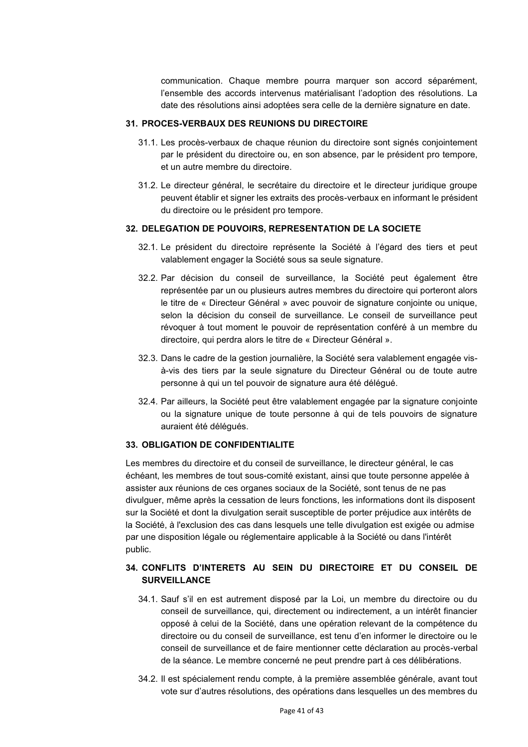communication. Chaque membre pourra marquer son accord séparément, l'ensemble des accords intervenus matérialisant l'adoption des résolutions. La date des résolutions ainsi adoptées sera celle de la dernière signature en date.

### **31. PROCES-VERBAUX DES REUNIONS DU DIRECTOIRE**

- 31.1. Les procès-verbaux de chaque réunion du directoire sont signés conjointement par le président du directoire ou, en son absence, par le président pro tempore, et un autre membre du directoire.
- 31.2. Le directeur général, le secrétaire du directoire et le directeur juridique groupe peuvent établir et signer les extraits des procès-verbaux en informant le président du directoire ou le président pro tempore.

### **32. DELEGATION DE POUVOIRS, REPRESENTATION DE LA SOCIETE**

- 32.1. Le président du directoire représente la Société à l'égard des tiers et peut valablement engager la Société sous sa seule signature.
- 32.2. Par décision du conseil de surveillance, la Société peut également être représentée par un ou plusieurs autres membres du directoire qui porteront alors le titre de « Directeur Général » avec pouvoir de signature conjointe ou unique, selon la décision du conseil de surveillance. Le conseil de surveillance peut révoquer à tout moment le pouvoir de représentation conféré à un membre du directoire, qui perdra alors le titre de « Directeur Général ».
- 32.3. Dans le cadre de la gestion journalière, la Société sera valablement engagée visà-vis des tiers par la seule signature du Directeur Général ou de toute autre personne à qui un tel pouvoir de signature aura été délégué.
- 32.4. Par ailleurs, la Société peut être valablement engagée par la signature conjointe ou la signature unique de toute personne à qui de tels pouvoirs de signature auraient été délégués.

#### **33. OBLIGATION DE CONFIDENTIALITE**

Les membres du directoire et du conseil de surveillance, le directeur général, le cas échéant, les membres de tout sous-comité existant, ainsi que toute personne appelée à assister aux réunions de ces organes sociaux de la Société, sont tenus de ne pas divulguer, même après la cessation de leurs fonctions, les informations dont ils disposent sur la Société et dont la divulgation serait susceptible de porter préjudice aux intérêts de la Société, à l'exclusion des cas dans lesquels une telle divulgation est exigée ou admise par une disposition légale ou réglementaire applicable à la Société ou dans l'intérêt public.

## **34. CONFLITS D'INTERETS AU SEIN DU DIRECTOIRE ET DU CONSEIL DE SURVEILLANCE**

- 34.1. Sauf s'il en est autrement disposé par la Loi, un membre du directoire ou du conseil de surveillance, qui, directement ou indirectement, a un intérêt financier opposé à celui de la Société, dans une opération relevant de la compétence du directoire ou du conseil de surveillance, est tenu d'en informer le directoire ou le conseil de surveillance et de faire mentionner cette déclaration au procès-verbal de la séance. Le membre concerné ne peut prendre part à ces délibérations.
- 34.2. Il est spécialement rendu compte, à la première assemblée générale, avant tout vote sur d'autres résolutions, des opérations dans lesquelles un des membres du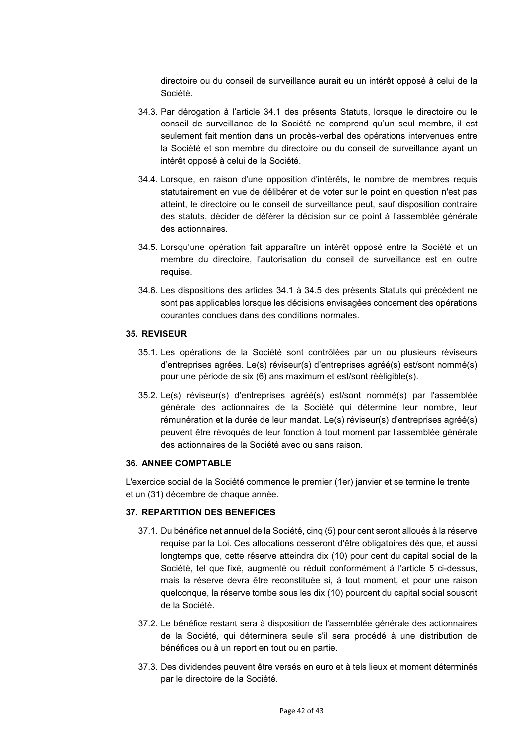directoire ou du conseil de surveillance aurait eu un intérêt opposé à celui de la Société.

- 34.3. Par dérogation à l'article 34.1 des présents Statuts, lorsque le directoire ou le conseil de surveillance de la Société ne comprend qu'un seul membre, il est seulement fait mention dans un procès-verbal des opérations intervenues entre la Société et son membre du directoire ou du conseil de surveillance ayant un intérêt opposé à celui de la Société.
- 34.4. Lorsque, en raison d'une opposition d'intérêts, le nombre de membres requis statutairement en vue de délibérer et de voter sur le point en question n'est pas atteint, le directoire ou le conseil de surveillance peut, sauf disposition contraire des statuts, décider de déférer la décision sur ce point à l'assemblée générale des actionnaires.
- 34.5. Lorsqu'une opération fait apparaître un intérêt opposé entre la Société et un membre du directoire, l'autorisation du conseil de surveillance est en outre requise.
- 34.6. Les dispositions des articles 34.1 à 34.5 des présents Statuts qui précèdent ne sont pas applicables lorsque les décisions envisagées concernent des opérations courantes conclues dans des conditions normales.

#### **35. REVISEUR**

- 35.1. Les opérations de la Société sont contrôlées par un ou plusieurs réviseurs d'entreprises agrées. Le(s) réviseur(s) d'entreprises agréé(s) est/sont nommé(s) pour une période de six (6) ans maximum et est/sont rééligible(s).
- 35.2. Le(s) réviseur(s) d'entreprises agréé(s) est/sont nommé(s) par l'assemblée générale des actionnaires de la Société qui détermine leur nombre, leur rémunération et la durée de leur mandat. Le(s) réviseur(s) d'entreprises agréé(s) peuvent être révoqués de leur fonction à tout moment par l'assemblée générale des actionnaires de la Société avec ou sans raison.

#### **36. ANNEE COMPTABLE**

L'exercice social de la Société commence le premier (1er) janvier et se termine le trente et un (31) décembre de chaque année.

## **37. REPARTITION DES BENEFICES**

- 37.1. Du bénéfice net annuel de la Société, cinq (5) pour cent seront alloués à la réserve requise par la Loi. Ces allocations cesseront d'être obligatoires dès que, et aussi longtemps que, cette réserve atteindra dix (10) pour cent du capital social de la Société, tel que fixé, augmenté ou réduit conformément à l'article 5 ci-dessus, mais la réserve devra être reconstituée si, à tout moment, et pour une raison quelconque, la réserve tombe sous les dix (10) pourcent du capital social souscrit de la Société.
- 37.2. Le bénéfice restant sera à disposition de l'assemblée générale des actionnaires de la Société, qui déterminera seule s'il sera procédé à une distribution de bénéfices ou à un report en tout ou en partie.
- 37.3. Des dividendes peuvent être versés en euro et à tels lieux et moment déterminés par le directoire de la Société.